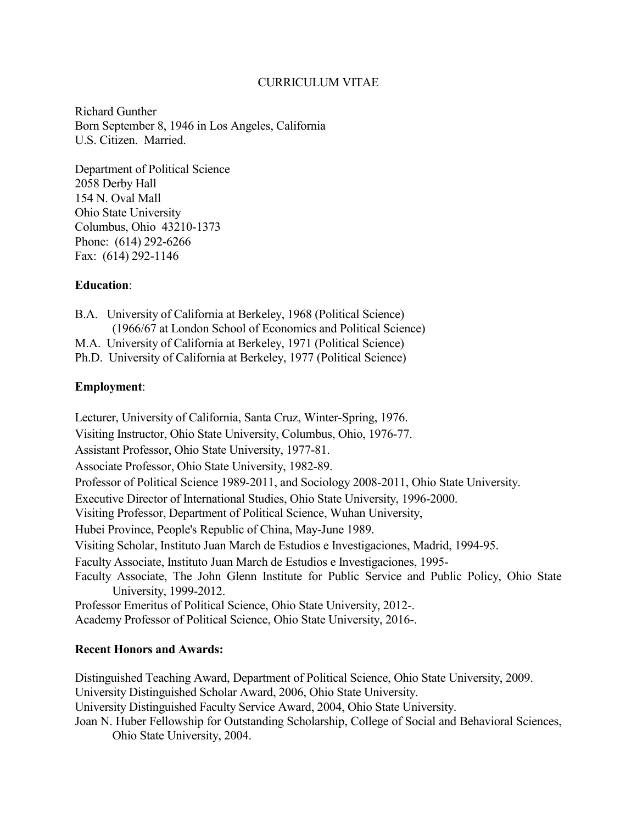# CURRICULUM VITAE

Richard Gunther Born September 8, 1946 in Los Angeles, California U.S. Citizen. Married.

Department of Political Science 2058 Derby Hall 154 N. Oval Mall Ohio State University Columbus, Ohio 43210-1373 Phone: (614) 292-6266 Fax: (614) 292-1146

# **Education**:

B.A. University of California at Berkeley, 1968 (Political Science) (1966/67 at London School of Economics and Political Science) M.A. University of California at Berkeley, 1971 (Political Science)

Ph.D. University of California at Berkeley, 1977 (Political Science)

# **Employment**:

Lecturer, University of California, Santa Cruz, Winter-Spring, 1976. Visiting Instructor, Ohio State University, Columbus, Ohio, 1976-77. Assistant Professor, Ohio State University, 1977-81. Associate Professor, Ohio State University, 1982-89. Professor of Political Science 1989-2011, and Sociology 2008-2011, Ohio State University. Executive Director of International Studies, Ohio State University, 1996-2000. Visiting Professor, Department of Political Science, Wuhan University, Hubei Province, People's Republic of China, May-June 1989. Visiting Scholar, Instituto Juan March de Estudios e Investigaciones, Madrid, 1994-95. Faculty Associate, Instituto Juan March de Estudios e Investigaciones, 1995- Faculty Associate, The John Glenn Institute for Public Service and Public Policy, Ohio State University, 1999-2012. Professor Emeritus of Political Science, Ohio State University, 2012-. Academy Professor of Political Science, Ohio State University, 2016-.

# **Recent Honors and Awards:**

Distinguished Teaching Award, Department of Political Science, Ohio State University, 2009. University Distinguished Scholar Award, 2006, Ohio State University. University Distinguished Faculty Service Award, 2004, Ohio State University. Joan N. Huber Fellowship for Outstanding Scholarship, College of Social and Behavioral Sciences, Ohio State University, 2004.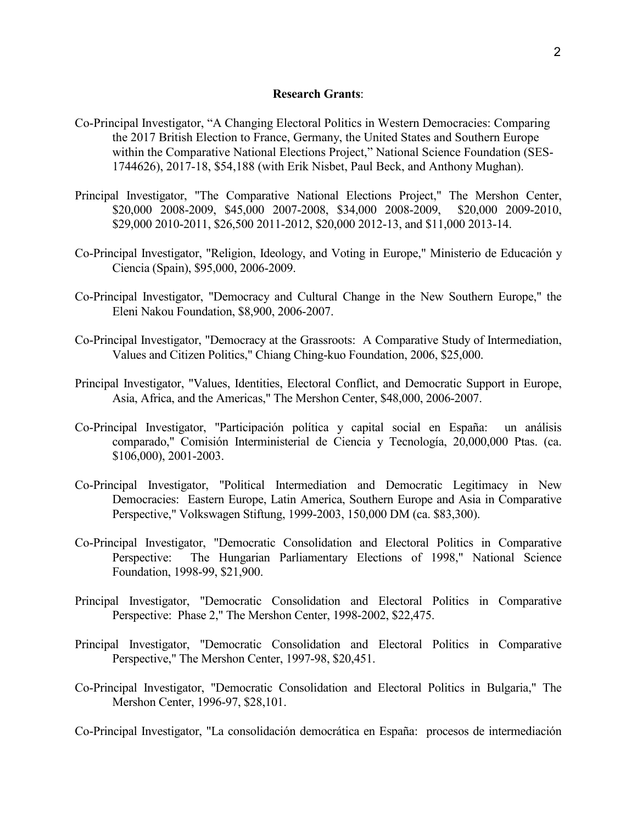### **Research Grants**:

- Co-Principal Investigator, "A Changing Electoral Politics in Western Democracies: Comparing the 2017 British Election to France, Germany, the United States and Southern Europe within the Comparative National Elections Project," National Science Foundation (SES-1744626), 2017-18, \$54,188 (with Erik Nisbet, Paul Beck, and Anthony Mughan).
- Principal Investigator, "The Comparative National Elections Project," The Mershon Center, \$20,000 2008-2009, \$45,000 2007-2008, \$34,000 2008-2009, \$20,000 2009-2010, \$29,000 2010-2011, \$26,500 2011-2012, \$20,000 2012-13, and \$11,000 2013-14.
- Co-Principal Investigator, "Religion, Ideology, and Voting in Europe," Ministerio de Educación y Ciencia (Spain), \$95,000, 2006-2009.
- Co-Principal Investigator, "Democracy and Cultural Change in the New Southern Europe," the Eleni Nakou Foundation, \$8,900, 2006-2007.
- Co-Principal Investigator, "Democracy at the Grassroots: A Comparative Study of Intermediation, Values and Citizen Politics," Chiang Ching-kuo Foundation, 2006, \$25,000.
- Principal Investigator, "Values, Identities, Electoral Conflict, and Democratic Support in Europe, Asia, Africa, and the Americas," The Mershon Center, \$48,000, 2006-2007.
- Co-Principal Investigator, "Participación política y capital social en España: un análisis comparado," Comisión Interministerial de Ciencia y Tecnología, 20,000,000 Ptas. (ca. \$106,000), 2001-2003.
- Co-Principal Investigator, "Political Intermediation and Democratic Legitimacy in New Democracies: Eastern Europe, Latin America, Southern Europe and Asia in Comparative Perspective," Volkswagen Stiftung, 1999-2003, 150,000 DM (ca. \$83,300).
- Co-Principal Investigator, "Democratic Consolidation and Electoral Politics in Comparative Perspective: The Hungarian Parliamentary Elections of 1998," National Science Foundation, 1998-99, \$21,900.
- Principal Investigator, "Democratic Consolidation and Electoral Politics in Comparative Perspective: Phase 2," The Mershon Center, 1998-2002, \$22,475.
- Principal Investigator, "Democratic Consolidation and Electoral Politics in Comparative Perspective," The Mershon Center, 1997-98, \$20,451.
- Co-Principal Investigator, "Democratic Consolidation and Electoral Politics in Bulgaria," The Mershon Center, 1996-97, \$28,101.

Co-Principal Investigator, "La consolidación democrática en España: procesos de intermediación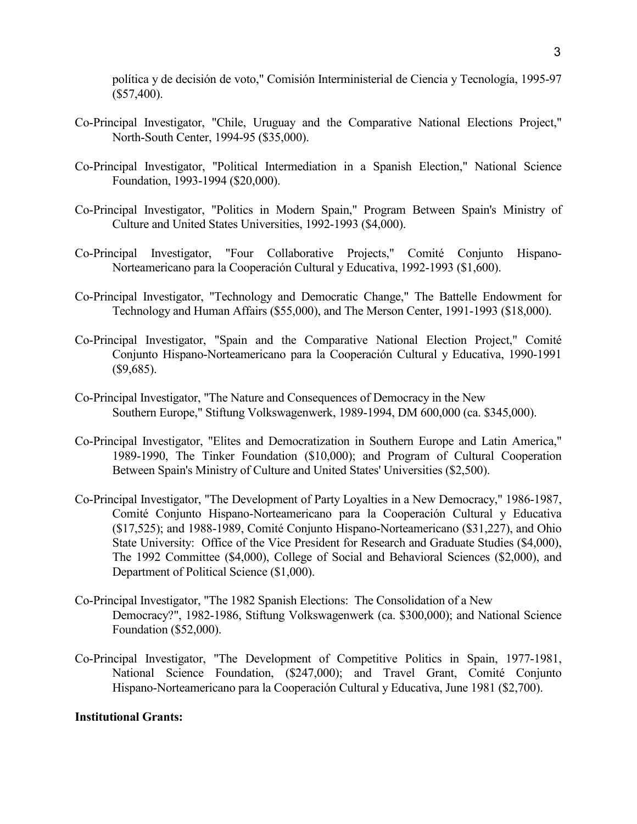política y de decisión de voto," Comisión Interministerial de Ciencia y Tecnología, 1995-97 (\$57,400).

- Co-Principal Investigator, "Chile, Uruguay and the Comparative National Elections Project," North-South Center, 1994-95 (\$35,000).
- Co-Principal Investigator, "Political Intermediation in a Spanish Election," National Science Foundation, 1993-1994 (\$20,000).
- Co-Principal Investigator, "Politics in Modern Spain," Program Between Spain's Ministry of Culture and United States Universities, 1992-1993 (\$4,000).
- Co-Principal Investigator, "Four Collaborative Projects," Comité Conjunto Hispano-Norteamericano para la Cooperación Cultural y Educativa, 1992-1993 (\$1,600).
- Co-Principal Investigator, "Technology and Democratic Change," The Battelle Endowment for Technology and Human Affairs (\$55,000), and The Merson Center, 1991-1993 (\$18,000).
- Co-Principal Investigator, "Spain and the Comparative National Election Project," Comité Conjunto Hispano-Norteamericano para la Cooperación Cultural y Educativa, 1990-1991 (\$9,685).
- Co-Principal Investigator, "The Nature and Consequences of Democracy in the New Southern Europe," Stiftung Volkswagenwerk, 1989-1994, DM 600,000 (ca. \$345,000).
- Co-Principal Investigator, "Elites and Democratization in Southern Europe and Latin America," 1989-1990, The Tinker Foundation (\$10,000); and Program of Cultural Cooperation Between Spain's Ministry of Culture and United States' Universities (\$2,500).
- Co-Principal Investigator, "The Development of Party Loyalties in a New Democracy," 1986-1987, Comité Conjunto Hispano-Norteamericano para la Cooperación Cultural y Educativa (\$17,525); and 1988-1989, Comité Conjunto Hispano-Norteamericano (\$31,227), and Ohio State University: Office of the Vice President for Research and Graduate Studies (\$4,000), The 1992 Committee (\$4,000), College of Social and Behavioral Sciences (\$2,000), and Department of Political Science (\$1,000).
- Co-Principal Investigator, "The 1982 Spanish Elections: The Consolidation of a New Democracy?", 1982-1986, Stiftung Volkswagenwerk (ca. \$300,000); and National Science Foundation (\$52,000).
- Co-Principal Investigator, "The Development of Competitive Politics in Spain, 1977-1981, National Science Foundation, (\$247,000); and Travel Grant, Comité Conjunto Hispano-Norteamericano para la Cooperación Cultural y Educativa, June 1981 (\$2,700).

## **Institutional Grants:**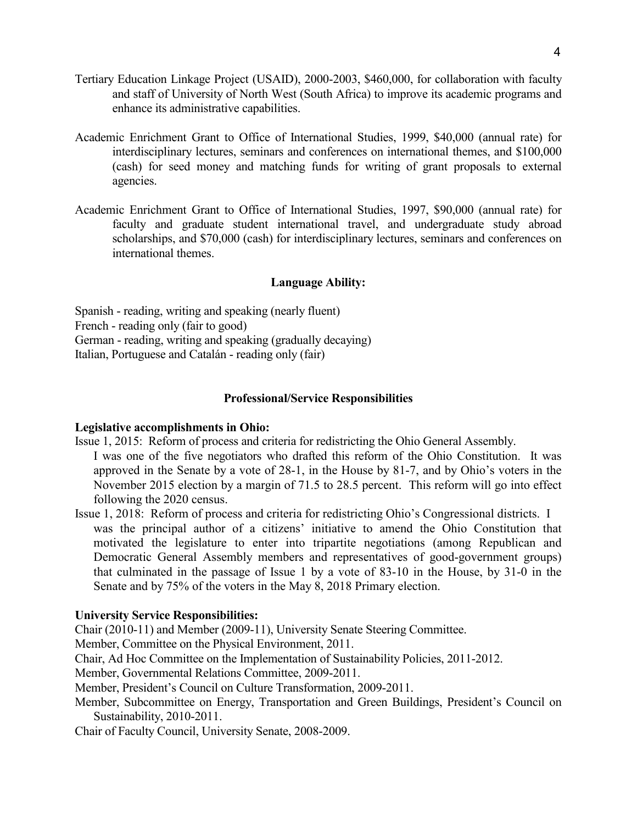- Tertiary Education Linkage Project (USAID), 2000-2003, \$460,000, for collaboration with faculty and staff of University of North West (South Africa) to improve its academic programs and enhance its administrative capabilities.
- Academic Enrichment Grant to Office of International Studies, 1999, \$40,000 (annual rate) for interdisciplinary lectures, seminars and conferences on international themes, and \$100,000 (cash) for seed money and matching funds for writing of grant proposals to external agencies.
- Academic Enrichment Grant to Office of International Studies, 1997, \$90,000 (annual rate) for faculty and graduate student international travel, and undergraduate study abroad scholarships, and \$70,000 (cash) for interdisciplinary lectures, seminars and conferences on international themes.

# **Language Ability:**

Spanish - reading, writing and speaking (nearly fluent) French - reading only (fair to good) German - reading, writing and speaking (gradually decaying) Italian, Portuguese and Catalán - reading only (fair)

#### **Professional/Service Responsibilities**

#### **Legislative accomplishments in Ohio:**

- Issue 1, 2015: Reform of process and criteria for redistricting the Ohio General Assembly.
- I was one of the five negotiators who drafted this reform of the Ohio Constitution. It was approved in the Senate by a vote of 28-1, in the House by 81-7, and by Ohio's voters in the November 2015 election by a margin of 71.5 to 28.5 percent. This reform will go into effect following the 2020 census.
- Issue 1, 2018: Reform of process and criteria for redistricting Ohio's Congressional districts. I was the principal author of a citizens' initiative to amend the Ohio Constitution that motivated the legislature to enter into tripartite negotiations (among Republican and Democratic General Assembly members and representatives of good-government groups) that culminated in the passage of Issue 1 by a vote of 83-10 in the House, by 31-0 in the Senate and by 75% of the voters in the May 8, 2018 Primary election.

## **University Service Responsibilities:**

Chair (2010-11) and Member (2009-11), University Senate Steering Committee.

Member, Committee on the Physical Environment, 2011.

Chair, Ad Hoc Committee on the Implementation of Sustainability Policies, 2011-2012.

Member, Governmental Relations Committee, 2009-2011.

Member, President's Council on Culture Transformation, 2009-2011.

Member, Subcommittee on Energy, Transportation and Green Buildings, President's Council on Sustainability, 2010-2011.

Chair of Faculty Council, University Senate, 2008-2009.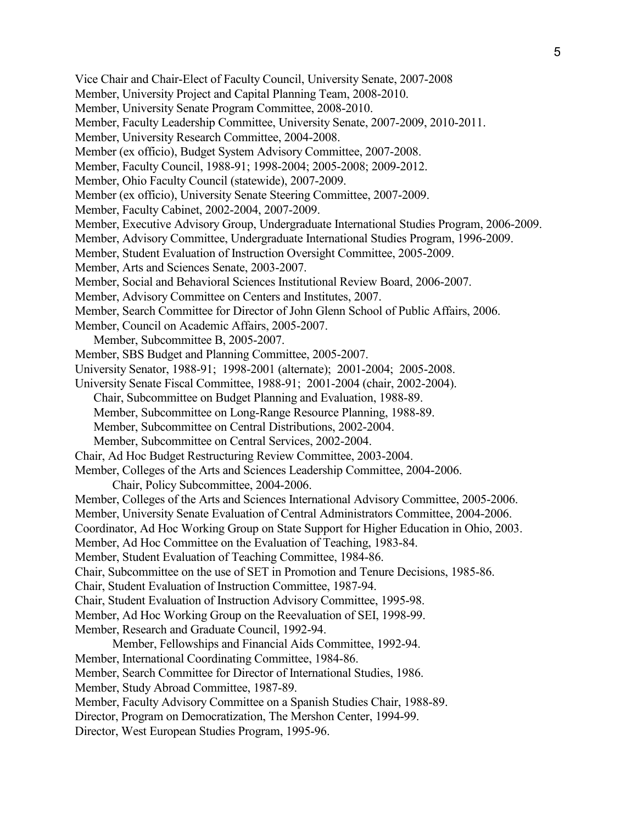Vice Chair and Chair-Elect of Faculty Council, University Senate, 2007-2008 Member, University Project and Capital Planning Team, 2008-2010. Member, University Senate Program Committee, 2008-2010. Member, Faculty Leadership Committee, University Senate, 2007-2009, 2010-2011. Member, University Research Committee, 2004-2008. Member (ex officio), Budget System Advisory Committee, 2007-2008. Member, Faculty Council, 1988-91; 1998-2004; 2005-2008; 2009-2012. Member, Ohio Faculty Council (statewide), 2007-2009. Member (ex officio), University Senate Steering Committee, 2007-2009. Member, Faculty Cabinet, 2002-2004, 2007-2009. Member, Executive Advisory Group, Undergraduate International Studies Program, 2006-2009. Member, Advisory Committee, Undergraduate International Studies Program, 1996-2009. Member, Student Evaluation of Instruction Oversight Committee, 2005-2009. Member, Arts and Sciences Senate, 2003-2007. Member, Social and Behavioral Sciences Institutional Review Board, 2006-2007. Member, Advisory Committee on Centers and Institutes, 2007. Member, Search Committee for Director of John Glenn School of Public Affairs, 2006. Member, Council on Academic Affairs, 2005-2007. Member, Subcommittee B, 2005-2007. Member, SBS Budget and Planning Committee, 2005-2007. University Senator, 1988-91; 1998-2001 (alternate); 2001-2004; 2005-2008. University Senate Fiscal Committee, 1988-91; 2001-2004 (chair, 2002-2004). Chair, Subcommittee on Budget Planning and Evaluation, 1988-89. Member, Subcommittee on Long-Range Resource Planning, 1988-89. Member, Subcommittee on Central Distributions, 2002-2004. Member, Subcommittee on Central Services, 2002-2004. Chair, Ad Hoc Budget Restructuring Review Committee, 2003-2004. Member, Colleges of the Arts and Sciences Leadership Committee, 2004-2006. Chair, Policy Subcommittee, 2004-2006. Member, Colleges of the Arts and Sciences International Advisory Committee, 2005-2006. Member, University Senate Evaluation of Central Administrators Committee, 2004-2006. Coordinator, Ad Hoc Working Group on State Support for Higher Education in Ohio, 2003. Member, Ad Hoc Committee on the Evaluation of Teaching, 1983-84. Member, Student Evaluation of Teaching Committee, 1984-86. Chair, Subcommittee on the use of SET in Promotion and Tenure Decisions, 1985-86. Chair, Student Evaluation of Instruction Committee, 1987-94. Chair, Student Evaluation of Instruction Advisory Committee, 1995-98. Member, Ad Hoc Working Group on the Reevaluation of SEI, 1998-99. Member, Research and Graduate Council, 1992-94. Member, Fellowships and Financial Aids Committee, 1992-94. Member, International Coordinating Committee, 1984-86. Member, Search Committee for Director of International Studies, 1986. Member, Study Abroad Committee, 1987-89. Member, Faculty Advisory Committee on a Spanish Studies Chair, 1988-89. Director, Program on Democratization, The Mershon Center, 1994-99. Director, West European Studies Program, 1995-96.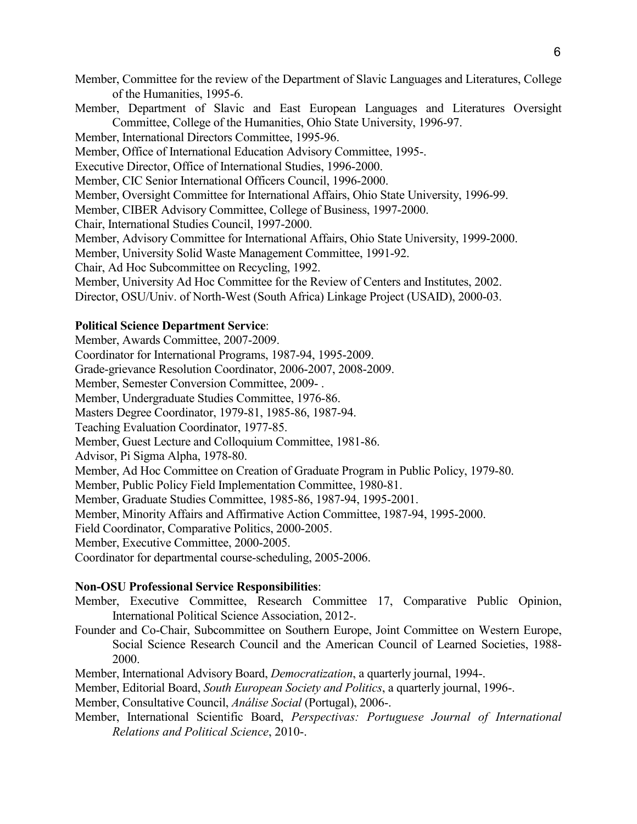Member, Committee for the review of the Department of Slavic Languages and Literatures, College of the Humanities, 1995-6.

Member, Department of Slavic and East European Languages and Literatures Oversight Committee, College of the Humanities, Ohio State University, 1996-97.

Member, International Directors Committee, 1995-96.

Member, Office of International Education Advisory Committee, 1995-.

Executive Director, Office of International Studies, 1996-2000.

Member, CIC Senior International Officers Council, 1996-2000.

Member, Oversight Committee for International Affairs, Ohio State University, 1996-99.

Member, CIBER Advisory Committee, College of Business, 1997-2000.

Chair, International Studies Council, 1997-2000.

Member, Advisory Committee for International Affairs, Ohio State University, 1999-2000.

Member, University Solid Waste Management Committee, 1991-92.

Chair, Ad Hoc Subcommittee on Recycling, 1992.

Member, University Ad Hoc Committee for the Review of Centers and Institutes, 2002.

Director, OSU/Univ. of North-West (South Africa) Linkage Project (USAID), 2000-03.

# **Political Science Department Service**:

Member, Awards Committee, 2007-2009.

Coordinator for International Programs, 1987-94, 1995-2009.

Grade-grievance Resolution Coordinator, 2006-2007, 2008-2009.

Member, Semester Conversion Committee, 2009- .

Member, Undergraduate Studies Committee, 1976-86.

Masters Degree Coordinator, 1979-81, 1985-86, 1987-94.

Teaching Evaluation Coordinator, 1977-85.

Member, Guest Lecture and Colloquium Committee, 1981-86.

Advisor, Pi Sigma Alpha, 1978-80.

Member, Ad Hoc Committee on Creation of Graduate Program in Public Policy, 1979-80.

Member, Public Policy Field Implementation Committee, 1980-81.

Member, Graduate Studies Committee, 1985-86, 1987-94, 1995-2001.

Member, Minority Affairs and Affirmative Action Committee, 1987-94, 1995-2000.

Field Coordinator, Comparative Politics, 2000-2005.

Member, Executive Committee, 2000-2005.

Coordinator for departmental course-scheduling, 2005-2006.

# **Non-OSU Professional Service Responsibilities**:

- Member, Executive Committee, Research Committee 17, Comparative Public Opinion, International Political Science Association, 2012-.
- Founder and Co-Chair, Subcommittee on Southern Europe, Joint Committee on Western Europe, Social Science Research Council and the American Council of Learned Societies, 1988- 2000.
- Member, International Advisory Board, *Democratization*, a quarterly journal, 1994-.

Member, Editorial Board, *South European Society and Politics*, a quarterly journal, 1996-.

Member, Consultative Council, *Análise Social* (Portugal), 2006-.

Member, International Scientific Board, *Perspectivas: Portuguese Journal of International Relations and Political Science*, 2010-.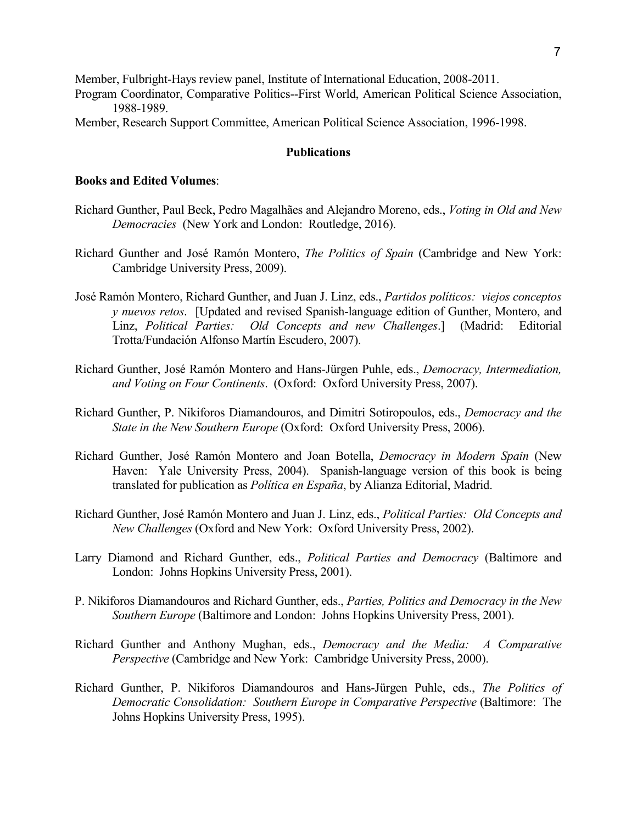Member, Fulbright-Hays review panel, Institute of International Education, 2008-2011.

- Program Coordinator, Comparative Politics--First World, American Political Science Association, 1988-1989.
- Member, Research Support Committee, American Political Science Association, 1996-1998.

## **Publications**

# **Books and Edited Volumes**:

- Richard Gunther, Paul Beck, Pedro Magalhães and Alejandro Moreno, eds., *Voting in Old and New Democracies* (New York and London: Routledge, 2016).
- Richard Gunther and José Ramón Montero, *The Politics of Spain* (Cambridge and New York: Cambridge University Press, 2009).
- José Ramón Montero, Richard Gunther, and Juan J. Linz, eds., *Partidos políticos: viejos conceptos y nuevos retos*. [Updated and revised Spanish-language edition of Gunther, Montero, and Linz, *Political Parties: Old Concepts and new Challenges*.] (Madrid: Editorial Trotta/Fundación Alfonso Martín Escudero, 2007).
- Richard Gunther, José Ramón Montero and Hans-Jürgen Puhle, eds., *Democracy, Intermediation, and Voting on Four Continents*. (Oxford: Oxford University Press, 2007).
- Richard Gunther, P. Nikiforos Diamandouros, and Dimitri Sotiropoulos, eds., *Democracy and the State in the New Southern Europe* (Oxford: Oxford University Press, 2006).
- Richard Gunther, José Ramón Montero and Joan Botella, *Democracy in Modern Spain* (New Haven: Yale University Press, 2004). Spanish-language version of this book is being translated for publication as *Política en España*, by Alianza Editorial, Madrid.
- Richard Gunther, José Ramón Montero and Juan J. Linz, eds., *Political Parties: Old Concepts and New Challenges* (Oxford and New York: Oxford University Press, 2002).
- Larry Diamond and Richard Gunther, eds., *Political Parties and Democracy* (Baltimore and London: Johns Hopkins University Press, 2001).
- P. Nikiforos Diamandouros and Richard Gunther, eds., *Parties, Politics and Democracy in the New Southern Europe* (Baltimore and London: Johns Hopkins University Press, 2001).
- Richard Gunther and Anthony Mughan, eds., *Democracy and the Media: A Comparative Perspective* (Cambridge and New York: Cambridge University Press, 2000).
- Richard Gunther, P. Nikiforos Diamandouros and Hans-Jürgen Puhle, eds., *The Politics of Democratic Consolidation: Southern Europe in Comparative Perspective* (Baltimore: The Johns Hopkins University Press, 1995).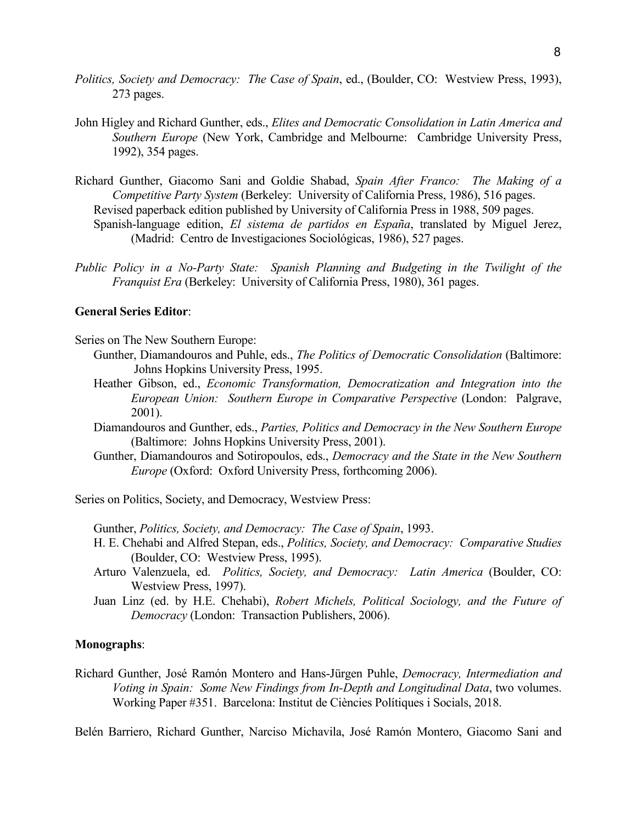- *Politics, Society and Democracy: The Case of Spain*, ed., (Boulder, CO: Westview Press, 1993), 273 pages.
- John Higley and Richard Gunther, eds., *Elites and Democratic Consolidation in Latin America and Southern Europe* (New York, Cambridge and Melbourne: Cambridge University Press, 1992), 354 pages.
- Richard Gunther, Giacomo Sani and Goldie Shabad, *Spain After Franco: The Making of a Competitive Party System* (Berkeley: University of California Press, 1986), 516 pages. Revised paperback edition published by University of California Press in 1988, 509 pages. Spanish-language edition, *El sistema de partidos en España*, translated by Miguel Jerez, (Madrid: Centro de Investigaciones Sociológicas, 1986), 527 pages.
- *Public Policy in a No-Party State: Spanish Planning and Budgeting in the Twilight of the Franquist Era* (Berkeley: University of California Press, 1980), 361 pages.

## **General Series Editor**:

Series on The New Southern Europe:

- Gunther, Diamandouros and Puhle, eds., *The Politics of Democratic Consolidation* (Baltimore: Johns Hopkins University Press, 1995.
	- Heather Gibson, ed., *Economic Transformation, Democratization and Integration into the European Union: Southern Europe in Comparative Perspective* (London: Palgrave, 2001).
	- Diamandouros and Gunther, eds., *Parties, Politics and Democracy in the New Southern Europe* (Baltimore: Johns Hopkins University Press, 2001).
	- Gunther, Diamandouros and Sotiropoulos, eds., *Democracy and the State in the New Southern Europe* (Oxford: Oxford University Press, forthcoming 2006).

Series on Politics, Society, and Democracy, Westview Press:

Gunther, *Politics, Society, and Democracy: The Case of Spain*, 1993.

- H. E. Chehabi and Alfred Stepan, eds., *Politics, Society, and Democracy: Comparative Studies* (Boulder, CO: Westview Press, 1995).
- Arturo Valenzuela, ed. *Politics, Society, and Democracy: Latin America* (Boulder, CO: Westview Press, 1997).
- Juan Linz (ed. by H.E. Chehabi), *Robert Michels, Political Sociology, and the Future of Democracy* (London: Transaction Publishers, 2006).

## **Monographs**:

Richard Gunther, José Ramón Montero and Hans-Jürgen Puhle, *Democracy, Intermediation and Voting in Spain: Some New Findings from In-Depth and Longitudinal Data*, two volumes. Working Paper #351. Barcelona: Institut de Ciències Polítiques i Socials, 2018.

Belén Barriero, Richard Gunther, Narciso Michavila, José Ramón Montero, Giacomo Sani and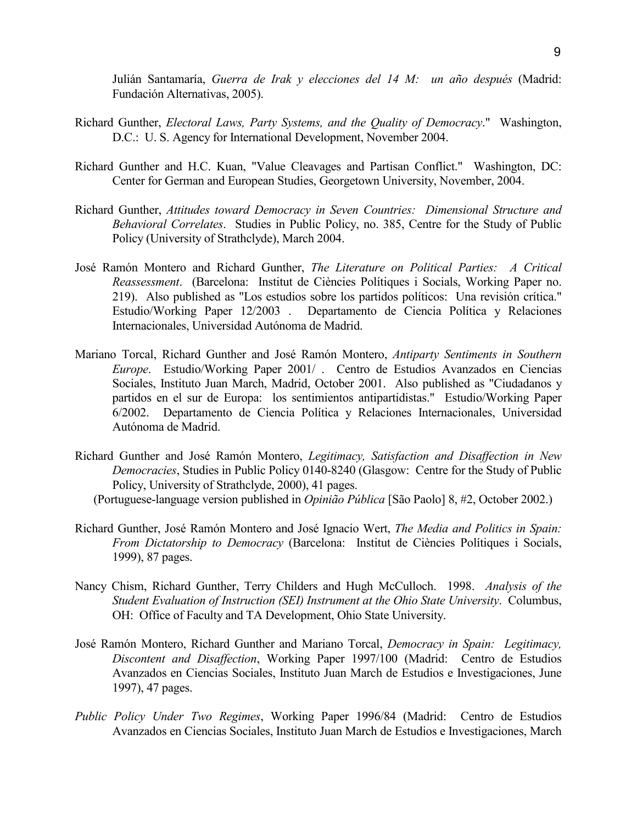Julián Santamaría, *Guerra de Irak y elecciones del 14 M: un año después* (Madrid: Fundación Alternativas, 2005).

- Richard Gunther, *Electoral Laws, Party Systems, and the Quality of Democracy*." Washington, D.C.: U. S. Agency for International Development, November 2004.
- Richard Gunther and H.C. Kuan, "Value Cleavages and Partisan Conflict." Washington, DC: Center for German and European Studies, Georgetown University, November, 2004.
- Richard Gunther, *Attitudes toward Democracy in Seven Countries: Dimensional Structure and Behavioral Correlates*. Studies in Public Policy, no. 385, Centre for the Study of Public Policy (University of Strathclyde), March 2004.
- José Ramón Montero and Richard Gunther, *The Literature on Political Parties: A Critical Reassessment*. (Barcelona: Institut de Ciències Polítiques i Socials, Working Paper no. 219). Also published as "Los estudios sobre los partidos políticos: Una revisión crítica." Estudio/Working Paper 12/2003 . Departamento de Ciencia Política y Relaciones Internacionales, Universidad Autónoma de Madrid.
- Mariano Torcal, Richard Gunther and José Ramón Montero, *Antiparty Sentiments in Southern Europe*. Estudio/Working Paper 2001/ . Centro de Estudios Avanzados en Ciencias Sociales, Instituto Juan March, Madrid, October 2001. Also published as "Ciudadanos y partidos en el sur de Europa: los sentimientos antipartidistas." Estudio/Working Paper 6/2002. Departamento de Ciencia Política y Relaciones Internacionales, Universidad Autónoma de Madrid.
- Richard Gunther and José Ramón Montero, *Legitimacy, Satisfaction and Disaffection in New Democracies*, Studies in Public Policy 0140-8240 (Glasgow: Centre for the Study of Public Policy, University of Strathclyde, 2000), 41 pages.
	- (Portuguese-language version published in *Opinião Pública* [São Paolo] 8, #2, October 2002.)
- Richard Gunther, José Ramón Montero and José Ignacio Wert, *The Media and Politics in Spain: From Dictatorship to Democracy* (Barcelona: Institut de Ciències Polítiques i Socials, 1999), 87 pages.
- Nancy Chism, Richard Gunther, Terry Childers and Hugh McCulloch. 1998. *Analysis of the Student Evaluation of Instruction (SEI) Instrument at the Ohio State University*. Columbus, OH: Office of Faculty and TA Development, Ohio State University.
- José Ramón Montero, Richard Gunther and Mariano Torcal, *Democracy in Spain: Legitimacy, Discontent and Disaffection*, Working Paper 1997/100 (Madrid: Centro de Estudios Avanzados en Ciencias Sociales, Instituto Juan March de Estudios e Investigaciones, June 1997), 47 pages.
- *Public Policy Under Two Regimes*, Working Paper 1996/84 (Madrid: Centro de Estudios Avanzados en Ciencias Sociales, Instituto Juan March de Estudios e Investigaciones, March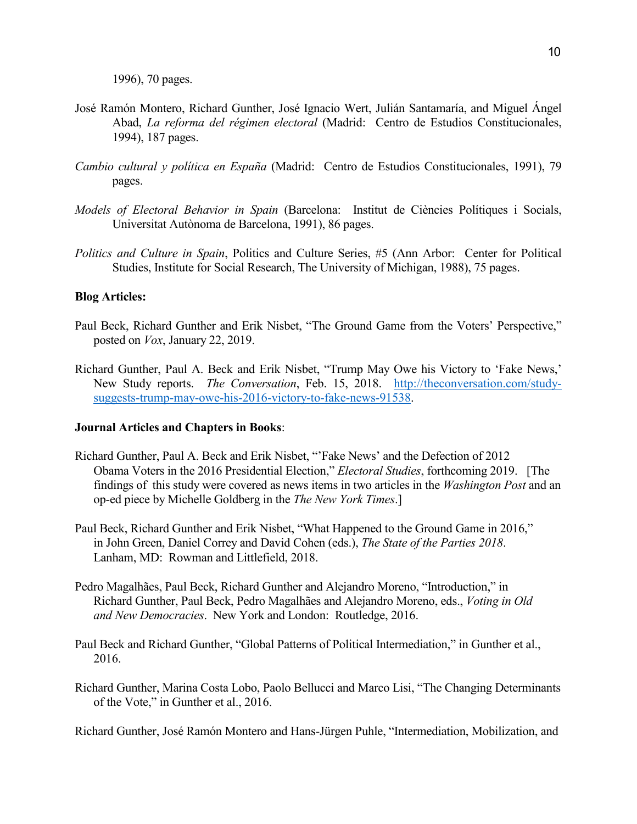1996), 70 pages.

- José Ramón Montero, Richard Gunther, José Ignacio Wert, Julián Santamaría, and Miguel Ángel Abad, *La reforma del régimen electoral* (Madrid: Centro de Estudios Constitucionales, 1994), 187 pages.
- *Cambio cultural y política en España* (Madrid: Centro de Estudios Constitucionales, 1991), 79 pages.
- *Models of Electoral Behavior in Spain* (Barcelona: Institut de Ciències Polítiques i Socials, Universitat Autònoma de Barcelona, 1991), 86 pages.
- *Politics and Culture in Spain*, Politics and Culture Series, #5 (Ann Arbor: Center for Political Studies, Institute for Social Research, The University of Michigan, 1988), 75 pages.

## **Blog Articles:**

- Paul Beck, Richard Gunther and Erik Nisbet, "The Ground Game from the Voters' Perspective," posted on *Vox*, January 22, 2019.
- Richard Gunther, Paul A. Beck and Erik Nisbet, "Trump May Owe his Victory to 'Fake News,' New Study reports. *The Conversation*, Feb. 15, 2018. [http://theconversation.com/study](http://theconversation.com/study-suggests-trump-may-owe-his-2016-victory-to-fake-news-91538)[suggests-trump-may-owe-his-2016-victory-to-fake-news-91538.](http://theconversation.com/study-suggests-trump-may-owe-his-2016-victory-to-fake-news-91538)

#### **Journal Articles and Chapters in Books**:

- Richard Gunther, Paul A. Beck and Erik Nisbet, "'Fake News' and the Defection of 2012 Obama Voters in the 2016 Presidential Election," *Electoral Studies*, forthcoming 2019. [The findings of this study were covered as news items in two articles in the *Washington Post* and an op-ed piece by Michelle Goldberg in the *The New York Times*.]
- Paul Beck, Richard Gunther and Erik Nisbet, "What Happened to the Ground Game in 2016," in John Green, Daniel Correy and David Cohen (eds.), *The State of the Parties 2018*. Lanham, MD: Rowman and Littlefield, 2018.
- Pedro Magalhães, Paul Beck, Richard Gunther and Alejandro Moreno, "Introduction," in Richard Gunther, Paul Beck, Pedro Magalhães and Alejandro Moreno, eds., *Voting in Old and New Democracies*. New York and London: Routledge, 2016.
- Paul Beck and Richard Gunther, "Global Patterns of Political Intermediation," in Gunther et al., 2016.
- Richard Gunther, Marina Costa Lobo, Paolo Bellucci and Marco Lisi, "The Changing Determinants of the Vote," in Gunther et al., 2016.

Richard Gunther, José Ramón Montero and Hans-Jürgen Puhle, "Intermediation, Mobilization, and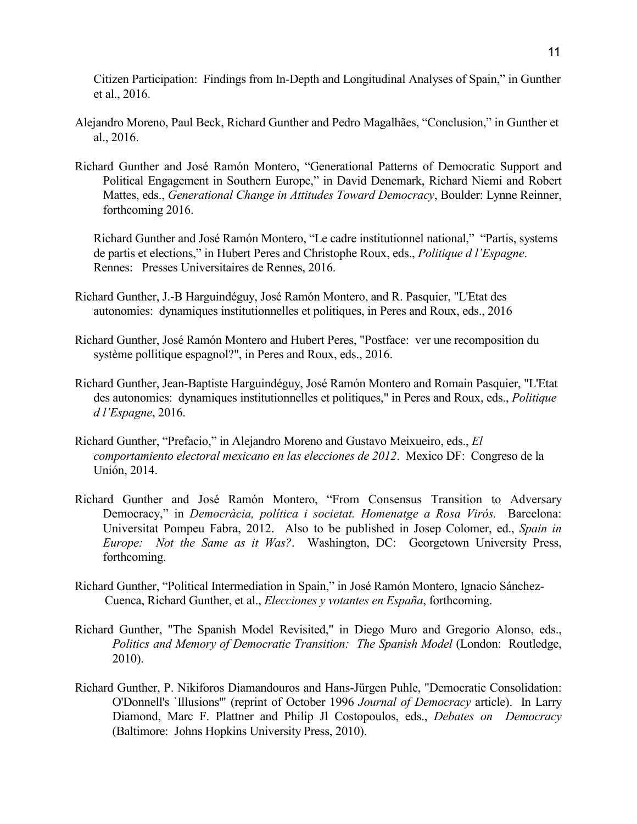Citizen Participation: Findings from In-Depth and Longitudinal Analyses of Spain," in Gunther et al., 2016.

- Alejandro Moreno, Paul Beck, Richard Gunther and Pedro Magalhães, "Conclusion," in Gunther et al., 2016.
- Richard Gunther and José Ramón Montero, "Generational Patterns of Democratic Support and Political Engagement in Southern Europe," in David Denemark, Richard Niemi and Robert Mattes, eds., *Generational Change in Attitudes Toward Democracy*, Boulder: Lynne Reinner, forthcoming 2016.

Richard Gunther and José Ramón Montero, "Le cadre institutionnel national," "Partis, systems de partis et elections," in Hubert Peres and Christophe Roux, eds., *Politique d l'Espagne*. Rennes: Presses Universitaires de Rennes, 2016.

- Richard Gunther, J.-B Harguindéguy, José Ramón Montero, and R. Pasquier, "L'Etat des autonomies: dynamiques institutionnelles et politiques, in Peres and Roux, eds., 2016
- Richard Gunther, José Ramón Montero and Hubert Peres, "Postface: ver une recomposition du système pollitique espagnol?", in Peres and Roux, eds., 2016.
- Richard Gunther, Jean-Baptiste Harguindéguy, José Ramón Montero and Romain Pasquier, "L'Etat des autonomies: dynamiques institutionnelles et politiques," in Peres and Roux, eds., *Politique d l'Espagne*, 2016.
- Richard Gunther, "Prefacio," in Alejandro Moreno and Gustavo Meixueiro, eds., *El comportamiento electoral mexicano en las elecciones de 2012*. Mexico DF: Congreso de la Unión, 2014.
- Richard Gunther and José Ramón Montero, "From Consensus Transition to Adversary Democracy," in *Democràcia, política i societat. Homenatge a Rosa Virós.* Barcelona: Universitat Pompeu Fabra, 2012. Also to be published in Josep Colomer, ed., *Spain in Europe: Not the Same as it Was?*. Washington, DC: Georgetown University Press, forthcoming.
- Richard Gunther, "Political Intermediation in Spain," in José Ramón Montero, Ignacio Sánchez-Cuenca, Richard Gunther, et al., *Elecciones y votantes en España*, forthcoming.
- Richard Gunther, "The Spanish Model Revisited," in Diego Muro and Gregorio Alonso, eds., *Politics and Memory of Democratic Transition: The Spanish Model* (London: Routledge, 2010).
- Richard Gunther, P. Nikiforos Diamandouros and Hans-Jürgen Puhle, "Democratic Consolidation: O'Donnell's `Illusions'" (reprint of October 1996 *Journal of Democracy* article). In Larry Diamond, Marc F. Plattner and Philip Jl Costopoulos, eds., *Debates on Democracy* (Baltimore: Johns Hopkins University Press, 2010).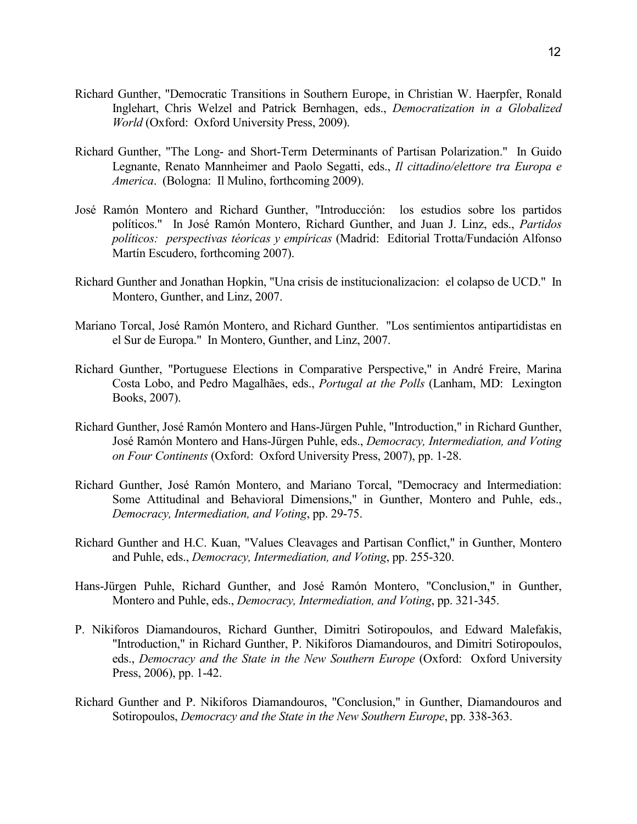- Richard Gunther, "Democratic Transitions in Southern Europe, in Christian W. Haerpfer, Ronald Inglehart, Chris Welzel and Patrick Bernhagen, eds., *Democratization in a Globalized World* (Oxford: Oxford University Press, 2009).
- Richard Gunther, "The Long- and Short-Term Determinants of Partisan Polarization." In Guido Legnante, Renato Mannheimer and Paolo Segatti, eds., *Il cittadino/elettore tra Europa e America*. (Bologna: Il Mulino, forthcoming 2009).
- José Ramón Montero and Richard Gunther, "Introducción: los estudios sobre los partidos políticos." In José Ramón Montero, Richard Gunther, and Juan J. Linz, eds., *Partidos políticos: perspectivas téoricas y empíricas* (Madrid: Editorial Trotta/Fundación Alfonso Martín Escudero, forthcoming 2007).
- Richard Gunther and Jonathan Hopkin, "Una crisis de institucionalizacion: el colapso de UCD." In Montero, Gunther, and Linz, 2007.
- Mariano Torcal, José Ramón Montero, and Richard Gunther. "Los sentimientos antipartidistas en el Sur de Europa." In Montero, Gunther, and Linz, 2007.
- Richard Gunther, "Portuguese Elections in Comparative Perspective," in André Freire, Marina Costa Lobo, and Pedro Magalhães, eds., *Portugal at the Polls* (Lanham, MD: Lexington Books, 2007).
- Richard Gunther, José Ramón Montero and Hans-Jürgen Puhle, "Introduction," in Richard Gunther, José Ramón Montero and Hans-Jürgen Puhle, eds., *Democracy, Intermediation, and Voting on Four Continents* (Oxford: Oxford University Press, 2007), pp. 1-28.
- Richard Gunther, José Ramón Montero, and Mariano Torcal, "Democracy and Intermediation: Some Attitudinal and Behavioral Dimensions," in Gunther, Montero and Puhle, eds., *Democracy, Intermediation, and Voting*, pp. 29-75.
- Richard Gunther and H.C. Kuan, "Values Cleavages and Partisan Conflict," in Gunther, Montero and Puhle, eds., *Democracy, Intermediation, and Voting*, pp. 255-320.
- Hans-Jürgen Puhle, Richard Gunther, and José Ramón Montero, "Conclusion," in Gunther, Montero and Puhle, eds., *Democracy, Intermediation, and Voting*, pp. 321-345.
- P. Nikiforos Diamandouros, Richard Gunther, Dimitri Sotiropoulos, and Edward Malefakis, "Introduction," in Richard Gunther, P. Nikiforos Diamandouros, and Dimitri Sotiropoulos, eds., *Democracy and the State in the New Southern Europe* (Oxford: Oxford University Press, 2006), pp. 1-42.
- Richard Gunther and P. Nikiforos Diamandouros, "Conclusion," in Gunther, Diamandouros and Sotiropoulos, *Democracy and the State in the New Southern Europe*, pp. 338-363.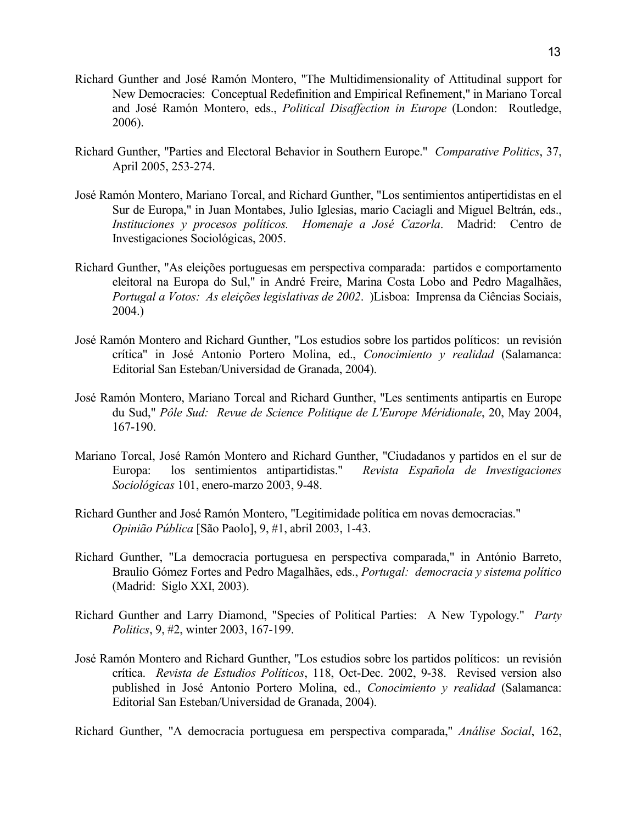- Richard Gunther and José Ramón Montero, "The Multidimensionality of Attitudinal support for New Democracies: Conceptual Redefinition and Empirical Refinement," in Mariano Torcal and José Ramón Montero, eds., *Political Disaffection in Europe* (London: Routledge, 2006).
- Richard Gunther, "Parties and Electoral Behavior in Southern Europe." *Comparative Politics*, 37, April 2005, 253-274.
- José Ramón Montero, Mariano Torcal, and Richard Gunther, "Los sentimientos antipertidistas en el Sur de Europa," in Juan Montabes, Julio Iglesias, mario Caciagli and Miguel Beltrán, eds., *Instituciones y procesos políticos. Homenaje a José Cazorla*. Madrid: Centro de Investigaciones Sociológicas, 2005.
- Richard Gunther, "As eleições portuguesas em perspectiva comparada: partidos e comportamento eleitoral na Europa do Sul," in André Freire, Marina Costa Lobo and Pedro Magalhães, *Portugal a Votos: As eleições legislativas de 2002*. )Lisboa: Imprensa da Ciências Sociais, 2004.)
- José Ramón Montero and Richard Gunther, "Los estudios sobre los partidos políticos: un revisión crítica" in José Antonio Portero Molina, ed., *Conocimiento y realidad* (Salamanca: Editorial San Esteban/Universidad de Granada, 2004).
- José Ramón Montero, Mariano Torcal and Richard Gunther, "Les sentiments antipartis en Europe du Sud," *Pôle Sud: Revue de Science Politique de L'Europe Méridionale*, 20, May 2004, 167-190.
- Mariano Torcal, José Ramón Montero and Richard Gunther, "Ciudadanos y partidos en el sur de Europa: los sentimientos antipartidistas." *Revista Española de Investigaciones Sociológicas* 101, enero-marzo 2003, 9-48.
- Richard Gunther and José Ramón Montero, "Legitimidade política em novas democracias." *Opinião Pública* [São Paolo], 9, #1, abril 2003, 1-43.
- Richard Gunther, "La democracia portuguesa en perspectiva comparada," in António Barreto, Braulio Gómez Fortes and Pedro Magalhães, eds., *Portugal: democracia y sistema político* (Madrid: Siglo XXI, 2003).
- Richard Gunther and Larry Diamond, "Species of Political Parties: A New Typology." *Party Politics*, 9, #2, winter 2003, 167-199.
- José Ramón Montero and Richard Gunther, "Los estudios sobre los partidos políticos: un revisión crítica. *Revista de Estudios Políticos*, 118, Oct-Dec. 2002, 9-38. Revised version also published in José Antonio Portero Molina, ed., *Conocimiento y realidad* (Salamanca: Editorial San Esteban/Universidad de Granada, 2004).

Richard Gunther, "A democracia portuguesa em perspectiva comparada," *Análise Social*, 162,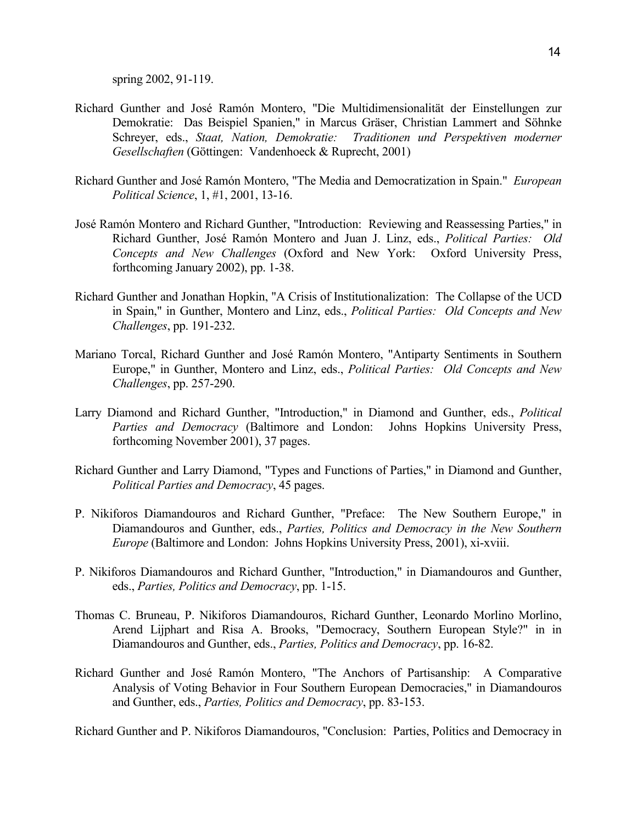spring 2002, 91-119.

- Richard Gunther and José Ramón Montero, "Die Multidimensionalität der Einstellungen zur Demokratie: Das Beispiel Spanien," in Marcus Gräser, Christian Lammert and Söhnke Schreyer, eds., *Staat, Nation, Demokratie: Traditionen und Perspektiven moderner Gesellschaften* (Göttingen: Vandenhoeck & Ruprecht, 2001)
- Richard Gunther and José Ramón Montero, "The Media and Democratization in Spain." *European Political Science*, 1, #1, 2001, 13-16.
- José Ramón Montero and Richard Gunther, "Introduction: Reviewing and Reassessing Parties," in Richard Gunther, José Ramón Montero and Juan J. Linz, eds., *Political Parties: Old Concepts and New Challenges* (Oxford and New York: Oxford University Press, forthcoming January 2002), pp. 1-38.
- Richard Gunther and Jonathan Hopkin, "A Crisis of Institutionalization: The Collapse of the UCD in Spain," in Gunther, Montero and Linz, eds., *Political Parties: Old Concepts and New Challenges*, pp. 191-232.
- Mariano Torcal, Richard Gunther and José Ramón Montero, "Antiparty Sentiments in Southern Europe," in Gunther, Montero and Linz, eds., *Political Parties: Old Concepts and New Challenges*, pp. 257-290.
- Larry Diamond and Richard Gunther, "Introduction," in Diamond and Gunther, eds., *Political Parties and Democracy* (Baltimore and London: Johns Hopkins University Press, forthcoming November 2001), 37 pages.
- Richard Gunther and Larry Diamond, "Types and Functions of Parties," in Diamond and Gunther, *Political Parties and Democracy*, 45 pages.
- P. Nikiforos Diamandouros and Richard Gunther, "Preface: The New Southern Europe," in Diamandouros and Gunther, eds., *Parties, Politics and Democracy in the New Southern Europe* (Baltimore and London: Johns Hopkins University Press, 2001), xi-xviii.
- P. Nikiforos Diamandouros and Richard Gunther, "Introduction," in Diamandouros and Gunther, eds., *Parties, Politics and Democracy*, pp. 1-15.
- Thomas C. Bruneau, P. Nikiforos Diamandouros, Richard Gunther, Leonardo Morlino Morlino, Arend Lijphart and Risa A. Brooks, "Democracy, Southern European Style?" in in Diamandouros and Gunther, eds., *Parties, Politics and Democracy*, pp. 16-82.
- Richard Gunther and José Ramón Montero, "The Anchors of Partisanship: A Comparative Analysis of Voting Behavior in Four Southern European Democracies," in Diamandouros and Gunther, eds., *Parties, Politics and Democracy*, pp. 83-153.

Richard Gunther and P. Nikiforos Diamandouros, "Conclusion: Parties, Politics and Democracy in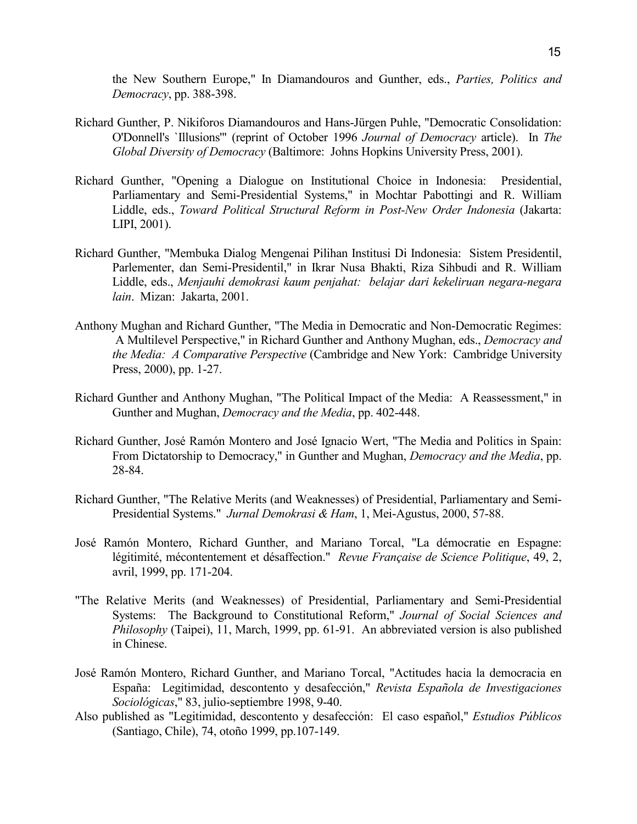the New Southern Europe," In Diamandouros and Gunther, eds., *Parties, Politics and Democracy*, pp. 388-398.

- Richard Gunther, P. Nikiforos Diamandouros and Hans-Jürgen Puhle, "Democratic Consolidation: O'Donnell's `Illusions'" (reprint of October 1996 *Journal of Democracy* article). In *The Global Diversity of Democracy* (Baltimore: Johns Hopkins University Press, 2001).
- Richard Gunther, "Opening a Dialogue on Institutional Choice in Indonesia: Presidential, Parliamentary and Semi-Presidential Systems," in Mochtar Pabottingi and R. William Liddle, eds., *Toward Political Structural Reform in Post-New Order Indonesia* (Jakarta: LIPI, 2001).
- Richard Gunther, "Membuka Dialog Mengenai Pilihan Institusi Di Indonesia: Sistem Presidentil, Parlementer, dan Semi-Presidentil," in Ikrar Nusa Bhakti, Riza Sihbudi and R. William Liddle, eds., *Menjauhi demokrasi kaum penjahat: belajar dari kekeliruan negara-negara lain*. Mizan: Jakarta, 2001.
- Anthony Mughan and Richard Gunther, "The Media in Democratic and Non-Democratic Regimes: A Multilevel Perspective," in Richard Gunther and Anthony Mughan, eds., *Democracy and the Media: A Comparative Perspective* (Cambridge and New York: Cambridge University Press, 2000), pp. 1-27.
- Richard Gunther and Anthony Mughan, "The Political Impact of the Media: A Reassessment," in Gunther and Mughan, *Democracy and the Media*, pp. 402-448.
- Richard Gunther, José Ramón Montero and José Ignacio Wert, "The Media and Politics in Spain: From Dictatorship to Democracy," in Gunther and Mughan, *Democracy and the Media*, pp. 28-84.
- Richard Gunther, "The Relative Merits (and Weaknesses) of Presidential, Parliamentary and Semi-Presidential Systems." *Jurnal Demokrasi & Ham*, 1, Mei-Agustus, 2000, 57-88.
- José Ramón Montero, Richard Gunther, and Mariano Torcal, "La démocratie en Espagne: légitimité, mécontentement et désaffection." *Revue Française de Science Politique*, 49, 2, avril, 1999, pp. 171-204.
- "The Relative Merits (and Weaknesses) of Presidential, Parliamentary and Semi-Presidential Systems: The Background to Constitutional Reform," *Journal of Social Sciences and Philosophy* (Taipei), 11, March, 1999, pp. 61-91. An abbreviated version is also published in Chinese.
- José Ramón Montero, Richard Gunther, and Mariano Torcal, "Actitudes hacia la democracia en España: Legitimidad, descontento y desafección," *Revista Española de Investigaciones Sociológicas*," 83, julio-septiembre 1998, 9-40.
- Also published as "Legitimidad, descontento y desafección: El caso español," *Estudios Públicos* (Santiago, Chile), 74, otoño 1999, pp.107-149.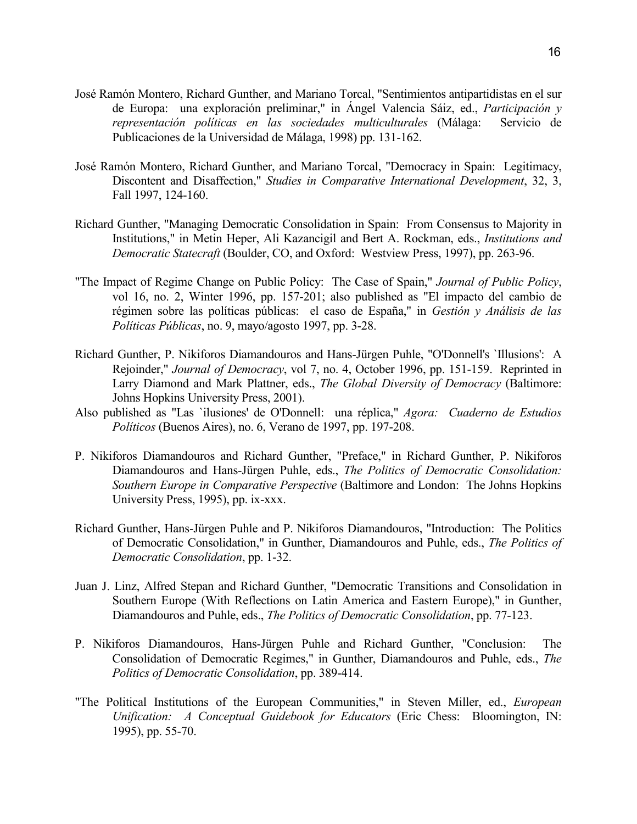- José Ramón Montero, Richard Gunther, and Mariano Torcal, "Sentimientos antipartidistas en el sur de Europa: una exploración preliminar," in Ángel Valencia Sáiz, ed., *Participación y representación políticas en las sociedades multiculturales* (Málaga: Servicio de Publicaciones de la Universidad de Málaga, 1998) pp. 131-162.
- José Ramón Montero, Richard Gunther, and Mariano Torcal, "Democracy in Spain: Legitimacy, Discontent and Disaffection," *Studies in Comparative International Development*, 32, 3, Fall 1997, 124-160.
- Richard Gunther, "Managing Democratic Consolidation in Spain: From Consensus to Majority in Institutions," in Metin Heper, Ali Kazancigil and Bert A. Rockman, eds., *Institutions and Democratic Statecraft* (Boulder, CO, and Oxford: Westview Press, 1997), pp. 263-96.
- "The Impact of Regime Change on Public Policy: The Case of Spain," *Journal of Public Policy*, vol 16, no. 2, Winter 1996, pp. 157-201; also published as "El impacto del cambio de régimen sobre las políticas públicas: el caso de España," in *Gestión y Análisis de las Políticas Públicas*, no. 9, mayo/agosto 1997, pp. 3-28.
- Richard Gunther, P. Nikiforos Diamandouros and Hans-Jürgen Puhle, "O'Donnell's `Illusions': A Rejoinder," *Journal of Democracy*, vol 7, no. 4, October 1996, pp. 151-159. Reprinted in Larry Diamond and Mark Plattner, eds., *The Global Diversity of Democracy* (Baltimore: Johns Hopkins University Press, 2001).
- Also published as "Las `ilusiones' de O'Donnell: una réplica," *Agora: Cuaderno de Estudios Políticos* (Buenos Aires), no. 6, Verano de 1997, pp. 197-208.
- P. Nikiforos Diamandouros and Richard Gunther, "Preface," in Richard Gunther, P. Nikiforos Diamandouros and Hans-Jürgen Puhle, eds., *The Politics of Democratic Consolidation: Southern Europe in Comparative Perspective* (Baltimore and London: The Johns Hopkins University Press, 1995), pp. ix-xxx.
- Richard Gunther, Hans-Jürgen Puhle and P. Nikiforos Diamandouros, "Introduction: The Politics of Democratic Consolidation," in Gunther, Diamandouros and Puhle, eds., *The Politics of Democratic Consolidation*, pp. 1-32.
- Juan J. Linz, Alfred Stepan and Richard Gunther, "Democratic Transitions and Consolidation in Southern Europe (With Reflections on Latin America and Eastern Europe)," in Gunther, Diamandouros and Puhle, eds., *The Politics of Democratic Consolidation*, pp. 77-123.
- P. Nikiforos Diamandouros, Hans-Jürgen Puhle and Richard Gunther, "Conclusion: The Consolidation of Democratic Regimes," in Gunther, Diamandouros and Puhle, eds., *The Politics of Democratic Consolidation*, pp. 389-414.
- "The Political Institutions of the European Communities," in Steven Miller, ed., *European Unification: A Conceptual Guidebook for Educators* (Eric Chess: Bloomington, IN: 1995), pp. 55-70.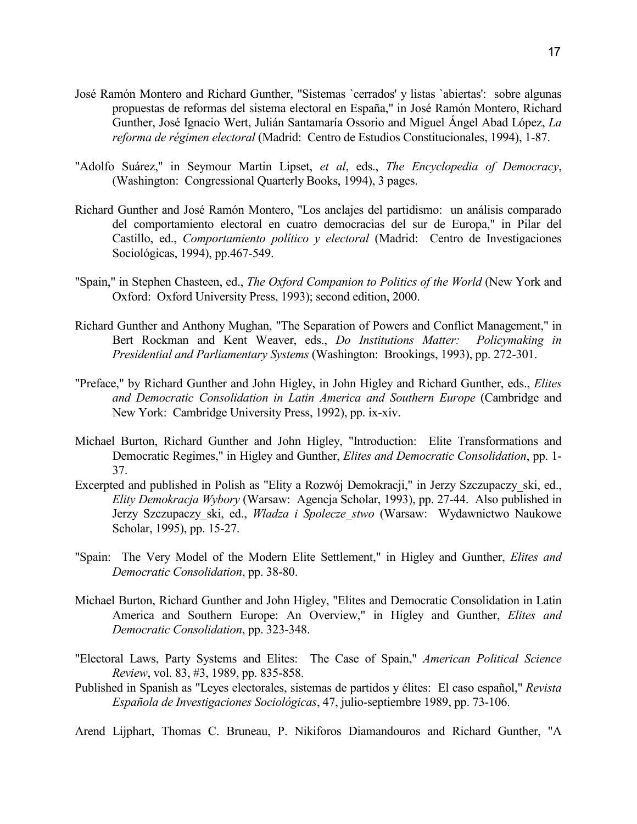- José Ramón Montero and Richard Gunther, "Sistemas `cerrados' y listas `abiertas': sobre algunas propuestas de reformas del sistema electoral en España," in José Ramón Montero, Richard Gunther, José Ignacio Wert, Julián Santamaría Ossorio and Miguel Ángel Abad López, *La reforma de régimen electoral* (Madrid: Centro de Estudios Constitucionales, 1994), 1-87.
- "Adolfo Suárez," in Seymour Martin Lipset, *et al*, eds., *The Encyclopedia of Democracy*, (Washington: Congressional Quarterly Books, 1994), 3 pages.
- Richard Gunther and José Ramón Montero, "Los anclajes del partidismo: un análisis comparado del comportamiento electoral en cuatro democracias del sur de Europa," in Pilar del Castillo, ed., *Comportamiento político y electoral* (Madrid: Centro de Investigaciones Sociológicas, 1994), pp.467-549.
- "Spain," in Stephen Chasteen, ed., *The Oxford Companion to Politics of the World* (New York and Oxford: Oxford University Press, 1993); second edition, 2000.
- Richard Gunther and Anthony Mughan, "The Separation of Powers and Conflict Management," in Bert Rockman and Kent Weaver, eds., *Do Institutions Matter: Policymaking in Presidential and Parliamentary Systems* (Washington: Brookings, 1993), pp. 272-301.
- "Preface," by Richard Gunther and John Higley, in John Higley and Richard Gunther, eds., *Elites and Democratic Consolidation in Latin America and Southern Europe* (Cambridge and New York: Cambridge University Press, 1992), pp. ix-xiv.
- Michael Burton, Richard Gunther and John Higley, "Introduction: Elite Transformations and Democratic Regimes," in Higley and Gunther, *Elites and Democratic Consolidation*, pp. 1- 37.
- Excerpted and published in Polish as "Elity a Rozwój Demokracji," in Jerzy Szczupaczy\_ski, ed., *Elity Demokracja Wybory* (Warsaw: Agencja Scholar, 1993), pp. 27-44. Also published in Jerzy Szczupaczy\_ski, ed., *Wladza i Spolecze\_stwo* (Warsaw: Wydawnictwo Naukowe Scholar, 1995), pp. 15-27.
- "Spain: The Very Model of the Modern Elite Settlement," in Higley and Gunther, *Elites and Democratic Consolidation*, pp. 38-80.
- Michael Burton, Richard Gunther and John Higley, "Elites and Democratic Consolidation in Latin America and Southern Europe: An Overview," in Higley and Gunther, *Elites and Democratic Consolidation*, pp. 323-348.
- "Electoral Laws, Party Systems and Elites: The Case of Spain," *American Political Science Review*, vol. 83, #3, 1989, pp. 835-858.
- Published in Spanish as "Leyes electorales, sistemas de partidos y élites: El caso español," *Revista Española de Investigaciones Sociológicas*, 47, julio-septiembre 1989, pp. 73-106.

Arend Lijphart, Thomas C. Bruneau, P. Nikiforos Diamandouros and Richard Gunther, "A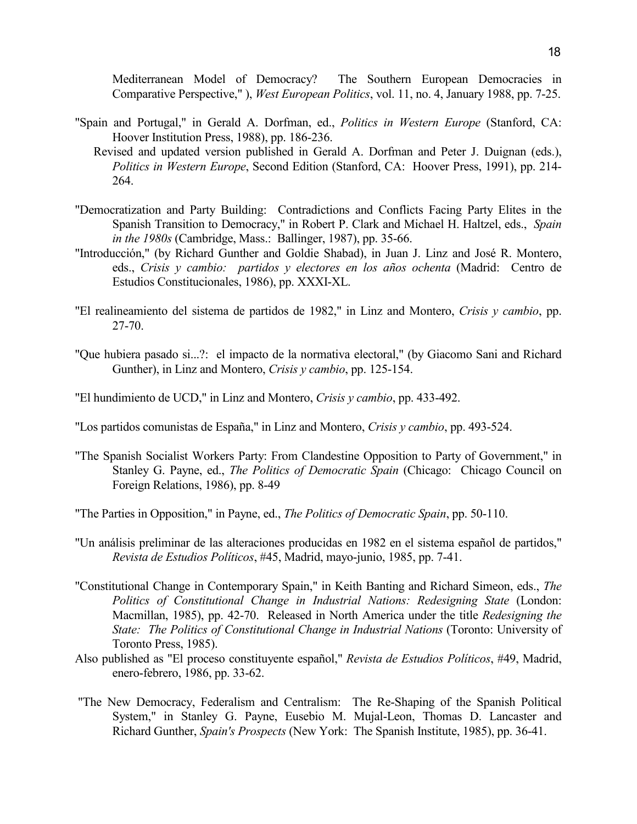Mediterranean Model of Democracy? The Southern European Democracies in Comparative Perspective," ), *West European Politics*, vol. 11, no. 4, January 1988, pp. 7-25.

- "Spain and Portugal," in Gerald A. Dorfman, ed., *Politics in Western Europe* (Stanford, CA: Hoover Institution Press, 1988), pp. 186-236.
	- Revised and updated version published in Gerald A. Dorfman and Peter J. Duignan (eds.), *Politics in Western Europe*, Second Edition (Stanford, CA: Hoover Press, 1991), pp. 214- 264.
- "Democratization and Party Building: Contradictions and Conflicts Facing Party Elites in the Spanish Transition to Democracy," in Robert P. Clark and Michael H. Haltzel, eds., *Spain in the 1980s* (Cambridge, Mass.: Ballinger, 1987), pp. 35-66.
- "Introducción," (by Richard Gunther and Goldie Shabad), in Juan J. Linz and José R. Montero, eds., *Crisis y cambio: partidos y electores en los años ochenta* (Madrid: Centro de Estudios Constitucionales, 1986), pp. XXXI-XL.
- "El realineamiento del sistema de partidos de 1982," in Linz and Montero, *Crisis y cambio*, pp. 27-70.
- "Que hubiera pasado si...?: el impacto de la normativa electoral," (by Giacomo Sani and Richard Gunther), in Linz and Montero, *Crisis y cambio*, pp. 125-154.
- "El hundimiento de UCD," in Linz and Montero, *Crisis y cambio*, pp. 433-492.
- "Los partidos comunistas de España," in Linz and Montero, *Crisis y cambio*, pp. 493-524.
- "The Spanish Socialist Workers Party: From Clandestine Opposition to Party of Government," in Stanley G. Payne, ed., *The Politics of Democratic Spain* (Chicago: Chicago Council on Foreign Relations, 1986), pp. 8-49
- "The Parties in Opposition," in Payne, ed., *The Politics of Democratic Spain*, pp. 50-110.
- "Un análisis preliminar de las alteraciones producidas en 1982 en el sistema español de partidos," *Revista de Estudios Políticos*, #45, Madrid, mayo-junio, 1985, pp. 7-41.
- "Constitutional Change in Contemporary Spain," in Keith Banting and Richard Simeon, eds., *The Politics of Constitutional Change in Industrial Nations: Redesigning State* (London: Macmillan, 1985), pp. 42-70. Released in North America under the title *Redesigning the State: The Politics of Constitutional Change in Industrial Nations* (Toronto: University of Toronto Press, 1985).
- Also published as "El proceso constituyente español," *Revista de Estudios Políticos*, #49, Madrid, enero-febrero, 1986, pp. 33-62.
- "The New Democracy, Federalism and Centralism: The Re-Shaping of the Spanish Political System," in Stanley G. Payne, Eusebio M. Mujal-Leon, Thomas D. Lancaster and Richard Gunther, *Spain's Prospects* (New York: The Spanish Institute, 1985), pp. 36-41.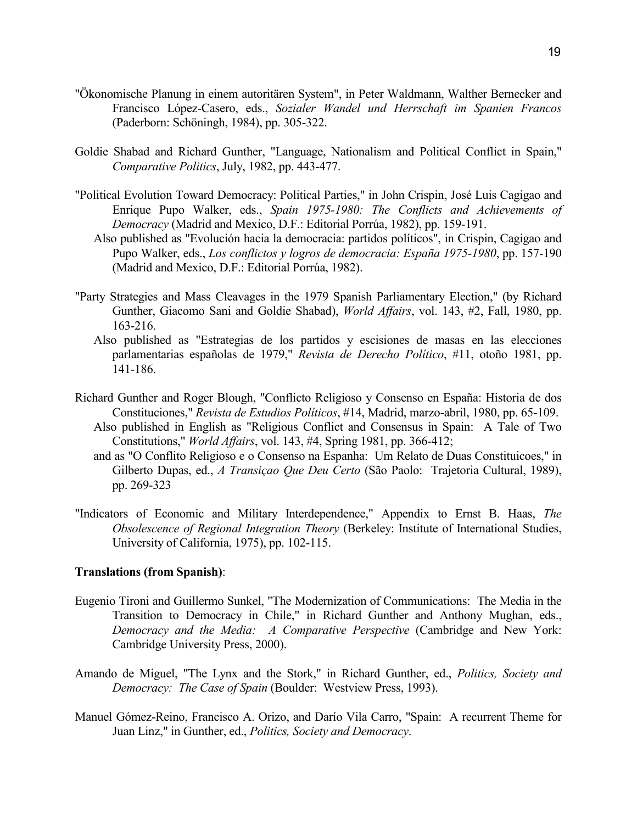- "Ökonomische Planung in einem autoritären System", in Peter Waldmann, Walther Bernecker and Francisco López-Casero, eds., *Sozialer Wandel und Herrschaft im Spanien Francos* (Paderborn: Schöningh, 1984), pp. 305-322.
- Goldie Shabad and Richard Gunther, "Language, Nationalism and Political Conflict in Spain," *Comparative Politics*, July, 1982, pp. 443-477.
- "Political Evolution Toward Democracy: Political Parties," in John Crispin, José Luis Cagigao and Enrique Pupo Walker, eds., *Spain 1975-1980: The Conflicts and Achievements of Democracy* (Madrid and Mexico, D.F.: Editorial Porrúa, 1982), pp. 159-191.
	- Also published as "Evolución hacia la democracia: partidos políticos", in Crispin, Cagigao and Pupo Walker, eds., *Los conflictos y logros de democracia: España 1975-1980*, pp. 157-190 (Madrid and Mexico, D.F.: Editorial Porrúa, 1982).
- "Party Strategies and Mass Cleavages in the 1979 Spanish Parliamentary Election," (by Richard Gunther, Giacomo Sani and Goldie Shabad), *World Affairs*, vol. 143, #2, Fall, 1980, pp. 163-216.
	- Also published as "Estrategias de los partidos y escisiones de masas en las elecciones parlamentarias españolas de 1979," *Revista de Derecho Político*, #11, otoño 1981, pp. 141-186.
- Richard Gunther and Roger Blough, "Conflicto Religioso y Consenso en España: Historia de dos Constituciones," *Revista de Estudios Políticos*, #14, Madrid, marzo-abril, 1980, pp. 65-109.
	- Also published in English as "Religious Conflict and Consensus in Spain: A Tale of Two Constitutions," *World Affairs*, vol. 143, #4, Spring 1981, pp. 366-412;
	- and as "O Conflito Religioso e o Consenso na Espanha: Um Relato de Duas Constituicoes," in Gilberto Dupas, ed., *A Transiçao Que Deu Certo* (São Paolo: Trajetoria Cultural, 1989), pp. 269-323
- "Indicators of Economic and Military Interdependence," Appendix to Ernst B. Haas, *The Obsolescence of Regional Integration Theory* (Berkeley: Institute of International Studies, University of California, 1975), pp. 102-115.

## **Translations (from Spanish)**:

- Eugenio Tironi and Guillermo Sunkel, "The Modernization of Communications: The Media in the Transition to Democracy in Chile," in Richard Gunther and Anthony Mughan, eds., *Democracy and the Media: A Comparative Perspective* (Cambridge and New York: Cambridge University Press, 2000).
- Amando de Miguel, "The Lynx and the Stork," in Richard Gunther, ed., *Politics, Society and Democracy: The Case of Spain* (Boulder: Westview Press, 1993).
- Manuel Gómez-Reino, Francisco A. Orizo, and Darío Vila Carro, "Spain: A recurrent Theme for Juan Linz," in Gunther, ed., *Politics, Society and Democracy*.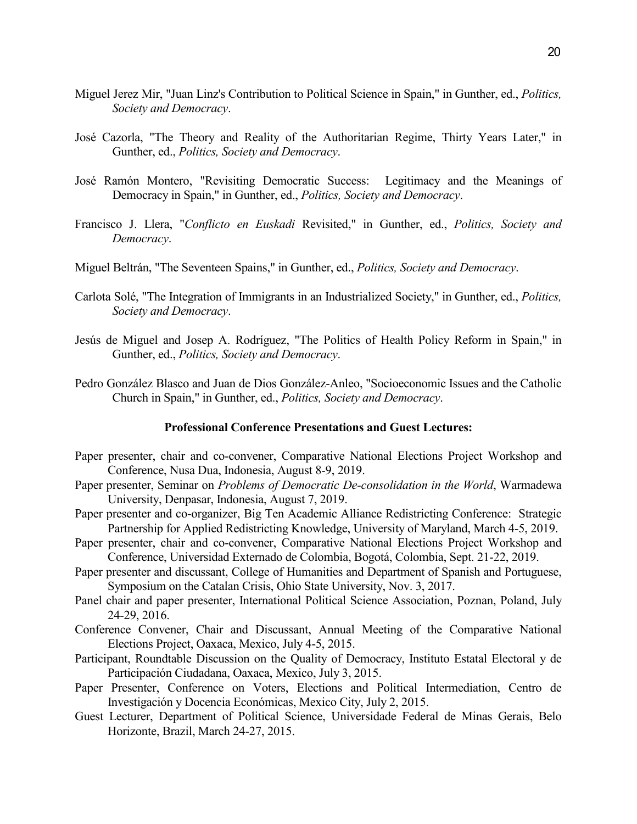- Miguel Jerez Mir, "Juan Linz's Contribution to Political Science in Spain," in Gunther, ed., *Politics, Society and Democracy*.
- José Cazorla, "The Theory and Reality of the Authoritarian Regime, Thirty Years Later," in Gunther, ed., *Politics, Society and Democracy*.
- José Ramón Montero, "Revisiting Democratic Success: Legitimacy and the Meanings of Democracy in Spain," in Gunther, ed., *Politics, Society and Democracy*.
- Francisco J. Llera, "*Conflicto en Euskadi* Revisited," in Gunther, ed., *Politics, Society and Democracy*.
- Miguel Beltrán, "The Seventeen Spains," in Gunther, ed., *Politics, Society and Democracy*.
- Carlota Solé, "The Integration of Immigrants in an Industrialized Society," in Gunther, ed., *Politics, Society and Democracy*.
- Jesús de Miguel and Josep A. Rodríguez, "The Politics of Health Policy Reform in Spain," in Gunther, ed., *Politics, Society and Democracy*.
- Pedro González Blasco and Juan de Dios González-Anleo, "Socioeconomic Issues and the Catholic Church in Spain," in Gunther, ed., *Politics, Society and Democracy*.

#### **Professional Conference Presentations and Guest Lectures:**

- Paper presenter, chair and co-convener, Comparative National Elections Project Workshop and Conference, Nusa Dua, Indonesia, August 8-9, 2019.
- Paper presenter, Seminar on *Problems of Democratic De-consolidation in the World*, Warmadewa University, Denpasar, Indonesia, August 7, 2019.
- Paper presenter and co-organizer, Big Ten Academic Alliance Redistricting Conference: Strategic Partnership for Applied Redistricting Knowledge, University of Maryland, March 4-5, 2019.
- Paper presenter, chair and co-convener, Comparative National Elections Project Workshop and Conference, Universidad Externado de Colombia, Bogotá, Colombia, Sept. 21-22, 2019.
- Paper presenter and discussant, College of Humanities and Department of Spanish and Portuguese, Symposium on the Catalan Crisis, Ohio State University, Nov. 3, 2017.
- Panel chair and paper presenter, International Political Science Association, Poznan, Poland, July 24-29, 2016.
- Conference Convener, Chair and Discussant, Annual Meeting of the Comparative National Elections Project, Oaxaca, Mexico, July 4-5, 2015.
- Participant, Roundtable Discussion on the Quality of Democracy, Instituto Estatal Electoral y de Participación Ciudadana, Oaxaca, Mexico, July 3, 2015.
- Paper Presenter, Conference on Voters, Elections and Political Intermediation, Centro de Investigación y Docencia Económicas, Mexico City, July 2, 2015.
- Guest Lecturer, Department of Political Science, Universidade Federal de Minas Gerais, Belo Horizonte, Brazil, March 24-27, 2015.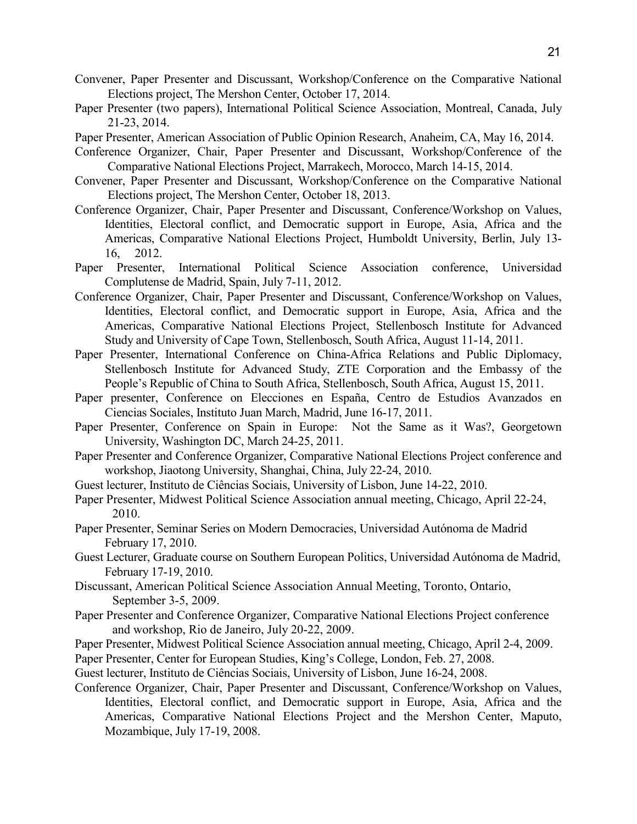- Convener, Paper Presenter and Discussant, Workshop/Conference on the Comparative National Elections project, The Mershon Center, October 17, 2014.
- Paper Presenter (two papers), International Political Science Association, Montreal, Canada, July 21-23, 2014.
- Paper Presenter, American Association of Public Opinion Research, Anaheim, CA, May 16, 2014.
- Conference Organizer, Chair, Paper Presenter and Discussant, Workshop/Conference of the Comparative National Elections Project, Marrakech, Morocco, March 14-15, 2014.
- Convener, Paper Presenter and Discussant, Workshop/Conference on the Comparative National Elections project, The Mershon Center, October 18, 2013.
- Conference Organizer, Chair, Paper Presenter and Discussant, Conference/Workshop on Values, Identities, Electoral conflict, and Democratic support in Europe, Asia, Africa and the Americas, Comparative National Elections Project, Humboldt University, Berlin, July 13- 16, 2012.
- Paper Presenter, International Political Science Association conference, Universidad Complutense de Madrid, Spain, July 7-11, 2012.
- Conference Organizer, Chair, Paper Presenter and Discussant, Conference/Workshop on Values, Identities, Electoral conflict, and Democratic support in Europe, Asia, Africa and the Americas, Comparative National Elections Project, Stellenbosch Institute for Advanced Study and University of Cape Town, Stellenbosch, South Africa, August 11-14, 2011.
- Paper Presenter, International Conference on China-Africa Relations and Public Diplomacy, Stellenbosch Institute for Advanced Study, ZTE Corporation and the Embassy of the People's Republic of China to South Africa, Stellenbosch, South Africa, August 15, 2011.
- Paper presenter, Conference on Elecciones en España, Centro de Estudios Avanzados en Ciencias Sociales, Instituto Juan March, Madrid, June 16-17, 2011.
- Paper Presenter, Conference on Spain in Europe: Not the Same as it Was?, Georgetown University, Washington DC, March 24-25, 2011.
- Paper Presenter and Conference Organizer, Comparative National Elections Project conference and workshop, Jiaotong University, Shanghai, China, July 22-24, 2010.
- Guest lecturer, Instituto de Ciências Sociais, University of Lisbon, June 14-22, 2010.
- Paper Presenter, Midwest Political Science Association annual meeting, Chicago, April 22-24, 2010.
- Paper Presenter, Seminar Series on Modern Democracies, Universidad Autónoma de Madrid February 17, 2010.
- Guest Lecturer, Graduate course on Southern European Politics, Universidad Autónoma de Madrid, February 17-19, 2010.
- Discussant, American Political Science Association Annual Meeting, Toronto, Ontario, September 3-5, 2009.
- Paper Presenter and Conference Organizer, Comparative National Elections Project conference and workshop, Rio de Janeiro, July 20-22, 2009.
- Paper Presenter, Midwest Political Science Association annual meeting, Chicago, April 2-4, 2009.
- Paper Presenter, Center for European Studies, King's College, London, Feb. 27, 2008.
- Guest lecturer, Instituto de Ciências Sociais, University of Lisbon, June 16-24, 2008.
- Conference Organizer, Chair, Paper Presenter and Discussant, Conference/Workshop on Values, Identities, Electoral conflict, and Democratic support in Europe, Asia, Africa and the Americas, Comparative National Elections Project and the Mershon Center, Maputo, Mozambique, July 17-19, 2008.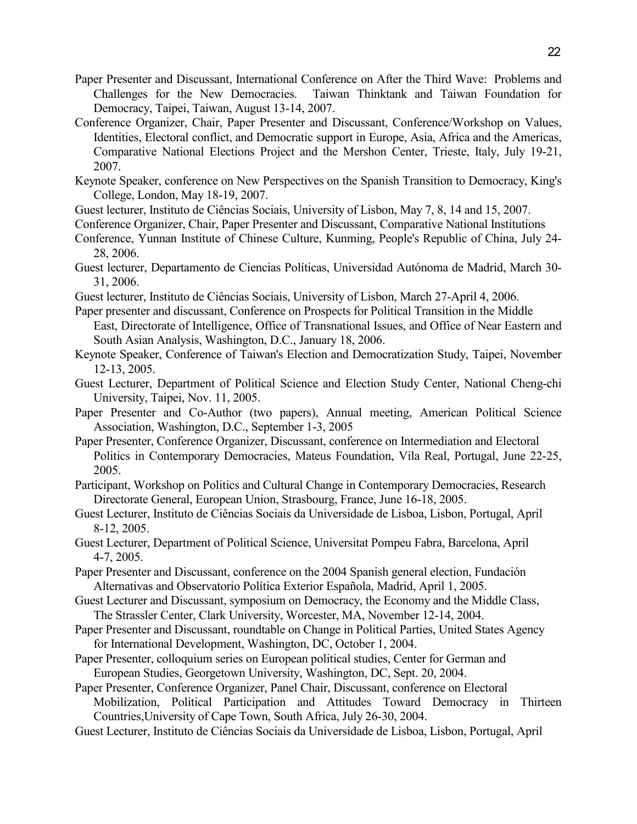- Paper Presenter and Discussant, International Conference on After the Third Wave: Problems and Challenges for the New Democracies. Taiwan Thinktank and Taiwan Foundation for Democracy, Taipei, Taiwan, August 13-14, 2007.
- Conference Organizer, Chair, Paper Presenter and Discussant, Conference/Workshop on Values, Identities, Electoral conflict, and Democratic support in Europe, Asia, Africa and the Americas, Comparative National Elections Project and the Mershon Center, Trieste, Italy, July 19-21, 2007.
- Keynote Speaker, conference on New Perspectives on the Spanish Transition to Democracy, King's College, London, May 18-19, 2007.
- Guest lecturer, Instituto de Ciências Sociais, University of Lisbon, May 7, 8, 14 and 15, 2007.
- Conference Organizer, Chair, Paper Presenter and Discussant, Comparative National Institutions
- Conference, Yunnan Institute of Chinese Culture, Kunming, People's Republic of China, July 24- 28, 2006.
- Guest lecturer, Departamento de Ciencias Políticas, Universidad Autónoma de Madrid, March 30- 31, 2006.
- Guest lecturer, Instituto de Ciências Sociais, University of Lisbon, March 27-April 4, 2006.
- Paper presenter and discussant, Conference on Prospects for Political Transition in the Middle East, Directorate of Intelligence, Office of Transnational Issues, and Office of Near Eastern and South Asian Analysis, Washington, D.C., January 18, 2006.
- Keynote Speaker, Conference of Taiwan's Election and Democratization Study, Taipei, November 12-13, 2005.
- Guest Lecturer, Department of Political Science and Election Study Center, National Cheng-chi University, Taipei, Nov. 11, 2005.
- Paper Presenter and Co-Author (two papers), Annual meeting, American Political Science Association, Washington, D.C., September 1-3, 2005
- Paper Presenter, Conference Organizer, Discussant, conference on Intermediation and Electoral Politics in Contemporary Democracies, Mateus Foundation, Vila Real, Portugal, June 22-25, 2005.
- Participant, Workshop on Politics and Cultural Change in Contemporary Democracies, Research Directorate General, European Union, Strasbourg, France, June 16-18, 2005.
- Guest Lecturer, Instituto de Ciências Sociais da Universidade de Lisboa, Lisbon, Portugal, April 8-12, 2005.
- Guest Lecturer, Department of Political Science, Universitat Pompeu Fabra, Barcelona, April 4-7, 2005.
- Paper Presenter and Discussant, conference on the 2004 Spanish general election, Fundación Alternativas and Observatorio Política Exterior Española, Madrid, April 1, 2005.
- Guest Lecturer and Discussant, symposium on Democracy, the Economy and the Middle Class, The Strassler Center, Clark University, Worcester, MA, November 12-14, 2004.
- Paper Presenter and Discussant, roundtable on Change in Political Parties, United States Agency for International Development, Washington, DC, October 1, 2004.
- Paper Presenter, colloquium series on European political studies, Center for German and European Studies, Georgetown University, Washington, DC, Sept. 20, 2004.
- Paper Presenter, Conference Organizer, Panel Chair, Discussant, conference on Electoral Mobilization, Political Participation and Attitudes Toward Democracy in Thirteen Countries,University of Cape Town, South Africa, July 26-30, 2004.
- Guest Lecturer, Instituto de Ciências Sociais da Universidade de Lisboa, Lisbon, Portugal, April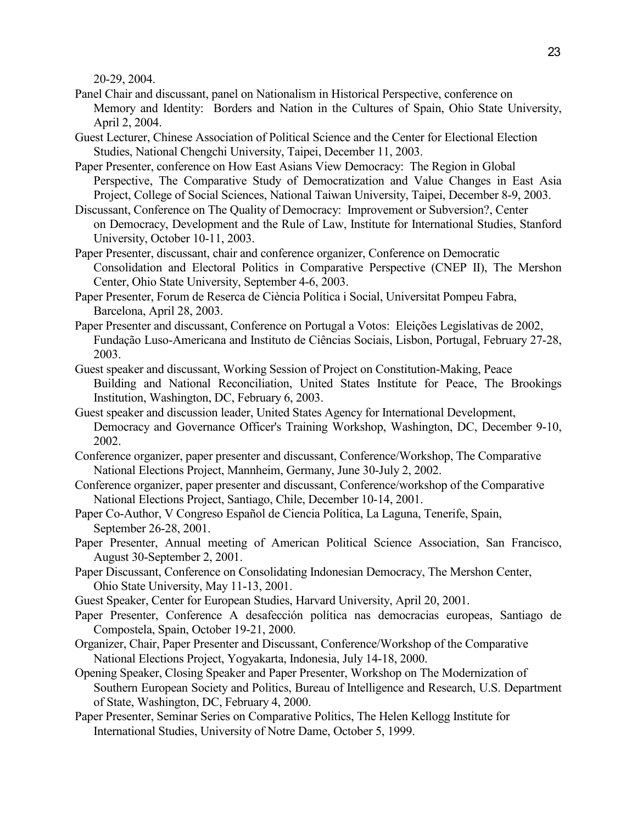20-29, 2004.

- Panel Chair and discussant, panel on Nationalism in Historical Perspective, conference on Memory and Identity: Borders and Nation in the Cultures of Spain, Ohio State University, April 2, 2004.
- Guest Lecturer, Chinese Association of Political Science and the Center for Electional Election Studies, National Chengchi University, Taipei, December 11, 2003.
- Paper Presenter, conference on How East Asians View Democracy: The Region in Global Perspective, The Comparative Study of Democratization and Value Changes in East Asia Project, College of Social Sciences, National Taiwan University, Taipei, December 8-9, 2003.
- Discussant, Conference on The Quality of Democracy: Improvement or Subversion?, Center on Democracy, Development and the Rule of Law, Institute for International Studies, Stanford University, October 10-11, 2003.
- Paper Presenter, discussant, chair and conference organizer, Conference on Democratic Consolidation and Electoral Politics in Comparative Perspective (CNEP II), The Mershon Center, Ohio State University, September 4-6, 2003.
- Paper Presenter, Forum de Reserca de Ciència Política i Social, Universitat Pompeu Fabra, Barcelona, April 28, 2003.
- Paper Presenter and discussant, Conference on Portugal a Votos: Eleições Legislativas de 2002, Fundação Luso-Americana and Instituto de Ciências Sociais, Lisbon, Portugal, February 27-28, 2003.
- Guest speaker and discussant, Working Session of Project on Constitution-Making, Peace Building and National Reconciliation, United States Institute for Peace, The Brookings Institution, Washington, DC, February 6, 2003.
- Guest speaker and discussion leader, United States Agency for International Development, Democracy and Governance Officer's Training Workshop, Washington, DC, December 9-10, 2002.
- Conference organizer, paper presenter and discussant, Conference/Workshop, The Comparative National Elections Project, Mannheim, Germany, June 30-July 2, 2002.
- Conference organizer, paper presenter and discussant, Conference/workshop of the Comparative National Elections Project, Santiago, Chile, December 10-14, 2001.
- Paper Co-Author, V Congreso Español de Ciencia Política, La Laguna, Tenerife, Spain, September 26-28, 2001.
- Paper Presenter, Annual meeting of American Political Science Association, San Francisco, August 30-September 2, 2001.
- Paper Discussant, Conference on Consolidating Indonesian Democracy, The Mershon Center, Ohio State University, May 11-13, 2001.
- Guest Speaker, Center for European Studies, Harvard University, April 20, 2001.
- Paper Presenter, Conference A desafección política nas democracias europeas, Santiago de Compostela, Spain, October 19-21, 2000.
- Organizer, Chair, Paper Presenter and Discussant, Conference/Workshop of the Comparative National Elections Project, Yogyakarta, Indonesia, July 14-18, 2000.
- Opening Speaker, Closing Speaker and Paper Presenter, Workshop on The Modernization of Southern European Society and Politics, Bureau of Intelligence and Research, U.S. Department of State, Washington, DC, February 4, 2000.
- Paper Presenter, Seminar Series on Comparative Politics, The Helen Kellogg Institute for International Studies, University of Notre Dame, October 5, 1999.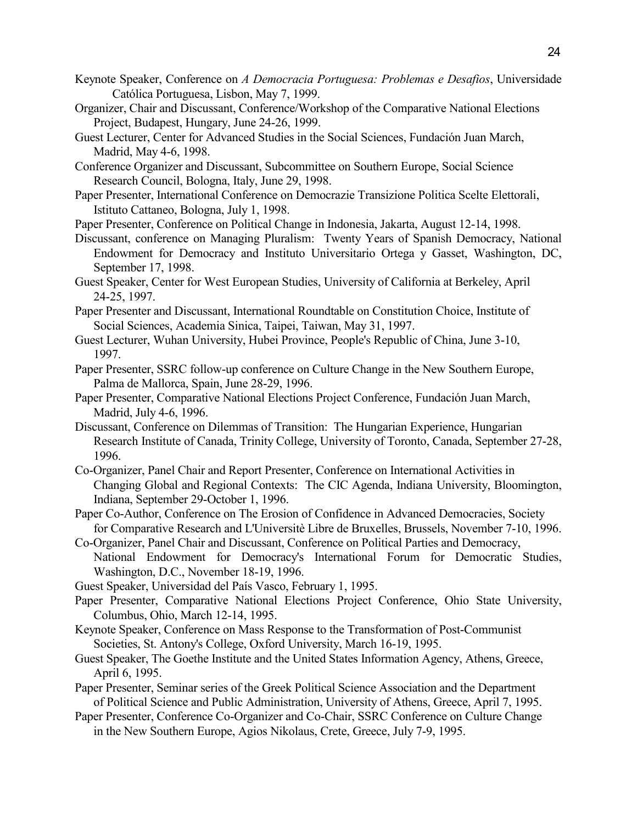- Keynote Speaker, Conference on *A Democracia Portuguesa: Problemas e Desafios*, Universidade Católica Portuguesa, Lisbon, May 7, 1999.
- Organizer, Chair and Discussant, Conference/Workshop of the Comparative National Elections Project, Budapest, Hungary, June 24-26, 1999.
- Guest Lecturer, Center for Advanced Studies in the Social Sciences, Fundación Juan March, Madrid, May 4-6, 1998.
- Conference Organizer and Discussant, Subcommittee on Southern Europe, Social Science Research Council, Bologna, Italy, June 29, 1998.
- Paper Presenter, International Conference on Democrazie Transizione Politica Scelte Elettorali, Istituto Cattaneo, Bologna, July 1, 1998.
- Paper Presenter, Conference on Political Change in Indonesia, Jakarta, August 12-14, 1998.
- Discussant, conference on Managing Pluralism: Twenty Years of Spanish Democracy, National Endowment for Democracy and Instituto Universitario Ortega y Gasset, Washington, DC, September 17, 1998.
- Guest Speaker, Center for West European Studies, University of California at Berkeley, April 24-25, 1997.
- Paper Presenter and Discussant, International Roundtable on Constitution Choice, Institute of Social Sciences, Academia Sinica, Taipei, Taiwan, May 31, 1997.
- Guest Lecturer, Wuhan University, Hubei Province, People's Republic of China, June 3-10, 1997.
- Paper Presenter, SSRC follow-up conference on Culture Change in the New Southern Europe, Palma de Mallorca, Spain, June 28-29, 1996.
- Paper Presenter, Comparative National Elections Project Conference, Fundación Juan March, Madrid, July 4-6, 1996.
- Discussant, Conference on Dilemmas of Transition: The Hungarian Experience, Hungarian Research Institute of Canada, Trinity College, University of Toronto, Canada, September 27-28, 1996.
- Co-Organizer, Panel Chair and Report Presenter, Conference on International Activities in Changing Global and Regional Contexts: The CIC Agenda, Indiana University, Bloomington, Indiana, September 29-October 1, 1996.
- Paper Co-Author, Conference on The Erosion of Confidence in Advanced Democracies, Society for Comparative Research and L'Universitè Libre de Bruxelles, Brussels, November 7-10, 1996.
- Co-Organizer, Panel Chair and Discussant, Conference on Political Parties and Democracy, National Endowment for Democracy's International Forum for Democratic Studies, Washington, D.C., November 18-19, 1996.
- Guest Speaker, Universidad del País Vasco, February 1, 1995.
- Paper Presenter, Comparative National Elections Project Conference, Ohio State University, Columbus, Ohio, March 12-14, 1995.
- Keynote Speaker, Conference on Mass Response to the Transformation of Post-Communist Societies, St. Antony's College, Oxford University, March 16-19, 1995.
- Guest Speaker, The Goethe Institute and the United States Information Agency, Athens, Greece, April 6, 1995.
- Paper Presenter, Seminar series of the Greek Political Science Association and the Department of Political Science and Public Administration, University of Athens, Greece, April 7, 1995.
- Paper Presenter, Conference Co-Organizer and Co-Chair, SSRC Conference on Culture Change in the New Southern Europe, Agios Nikolaus, Crete, Greece, July 7-9, 1995.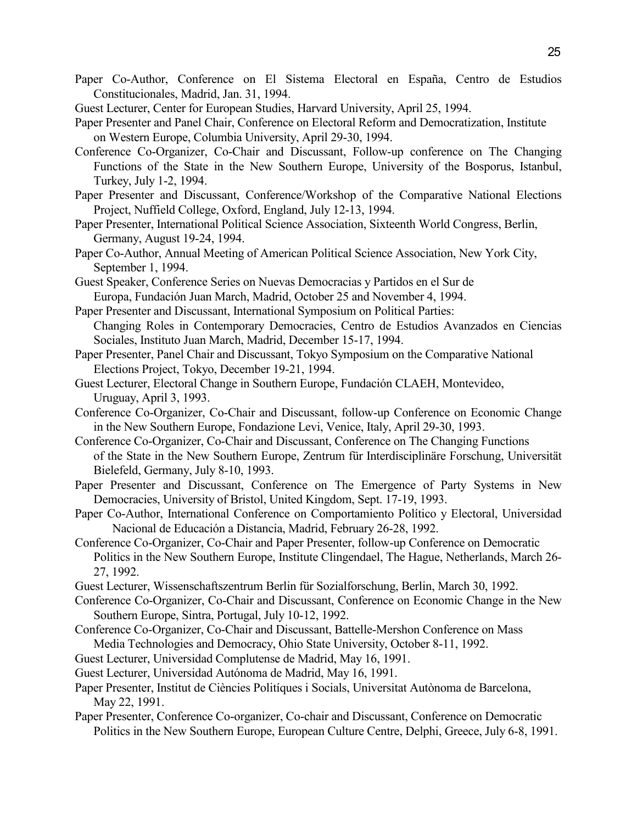- Paper Co-Author, Conference on El Sistema Electoral en España, Centro de Estudios Constitucionales, Madrid, Jan. 31, 1994.
- Guest Lecturer, Center for European Studies, Harvard University, April 25, 1994.
- Paper Presenter and Panel Chair, Conference on Electoral Reform and Democratization, Institute on Western Europe, Columbia University, April 29-30, 1994.
- Conference Co-Organizer, Co-Chair and Discussant, Follow-up conference on The Changing Functions of the State in the New Southern Europe, University of the Bosporus, Istanbul, Turkey, July 1-2, 1994.
- Paper Presenter and Discussant, Conference/Workshop of the Comparative National Elections Project, Nuffield College, Oxford, England, July 12-13, 1994.
- Paper Presenter, International Political Science Association, Sixteenth World Congress, Berlin, Germany, August 19-24, 1994.
- Paper Co-Author, Annual Meeting of American Political Science Association, New York City, September 1, 1994.
- Guest Speaker, Conference Series on Nuevas Democracias y Partidos en el Sur de Europa, Fundación Juan March, Madrid, October 25 and November 4, 1994.
- Paper Presenter and Discussant, International Symposium on Political Parties: Changing Roles in Contemporary Democracies, Centro de Estudios Avanzados en Ciencias Sociales, Instituto Juan March, Madrid, December 15-17, 1994.
- Paper Presenter, Panel Chair and Discussant, Tokyo Symposium on the Comparative National Elections Project, Tokyo, December 19-21, 1994.
- Guest Lecturer, Electoral Change in Southern Europe, Fundación CLAEH, Montevideo, Uruguay, April 3, 1993.
- Conference Co-Organizer, Co-Chair and Discussant, follow-up Conference on Economic Change in the New Southern Europe, Fondazione Levi, Venice, Italy, April 29-30, 1993.
- Conference Co-Organizer, Co-Chair and Discussant, Conference on The Changing Functions of the State in the New Southern Europe, Zentrum für Interdisciplinäre Forschung, Universität Bielefeld, Germany, July 8-10, 1993.
- Paper Presenter and Discussant, Conference on The Emergence of Party Systems in New Democracies, University of Bristol, United Kingdom, Sept. 17-19, 1993.
- Paper Co-Author, International Conference on Comportamiento Político y Electoral, Universidad Nacional de Educación a Distancia, Madrid, February 26-28, 1992.
- Conference Co-Organizer, Co-Chair and Paper Presenter, follow-up Conference on Democratic Politics in the New Southern Europe, Institute Clingendael, The Hague, Netherlands, March 26- 27, 1992.
- Guest Lecturer, Wissenschaftszentrum Berlin für Sozialforschung, Berlin, March 30, 1992.
- Conference Co-Organizer, Co-Chair and Discussant, Conference on Economic Change in the New Southern Europe, Sintra, Portugal, July 10-12, 1992.
- Conference Co-Organizer, Co-Chair and Discussant, Battelle-Mershon Conference on Mass Media Technologies and Democracy, Ohio State University, October 8-11, 1992.
- Guest Lecturer, Universidad Complutense de Madrid, May 16, 1991.
- Guest Lecturer, Universidad Autónoma de Madrid, May 16, 1991.
- Paper Presenter, Institut de Ciències Politíques i Socials, Universitat Autònoma de Barcelona, May 22, 1991.
- Paper Presenter, Conference Co-organizer, Co-chair and Discussant, Conference on Democratic Politics in the New Southern Europe, European Culture Centre, Delphi, Greece, July 6-8, 1991.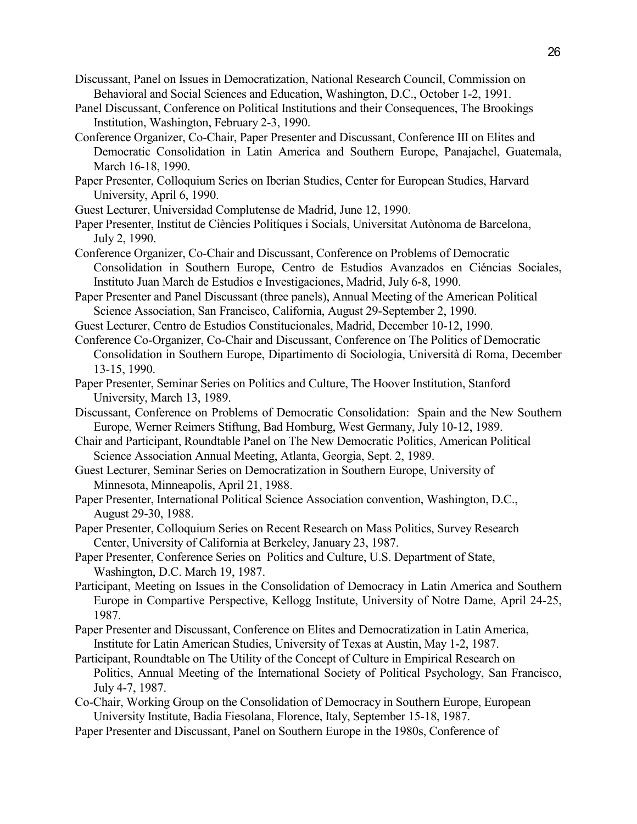- Discussant, Panel on Issues in Democratization, National Research Council, Commission on Behavioral and Social Sciences and Education, Washington, D.C., October 1-2, 1991.
- Panel Discussant, Conference on Political Institutions and their Consequences, The Brookings Institution, Washington, February 2-3, 1990.
- Conference Organizer, Co-Chair, Paper Presenter and Discussant, Conference III on Elites and Democratic Consolidation in Latin America and Southern Europe, Panajachel, Guatemala, March 16-18, 1990.
- Paper Presenter, Colloquium Series on Iberian Studies, Center for European Studies, Harvard University, April 6, 1990.
- Guest Lecturer, Universidad Complutense de Madrid, June 12, 1990.
- Paper Presenter, Institut de Ciències Politíques i Socials, Universitat Autònoma de Barcelona, July 2, 1990.
- Conference Organizer, Co-Chair and Discussant, Conference on Problems of Democratic Consolidation in Southern Europe, Centro de Estudios Avanzados en Ciéncias Sociales, Instituto Juan March de Estudios e Investigaciones, Madrid, July 6-8, 1990.
- Paper Presenter and Panel Discussant (three panels), Annual Meeting of the American Political Science Association, San Francisco, California, August 29-September 2, 1990.
- Guest Lecturer, Centro de Estudios Constitucionales, Madrid, December 10-12, 1990.
- Conference Co-Organizer, Co-Chair and Discussant, Conference on The Politics of Democratic Consolidation in Southern Europe, Dipartimento di Sociologia, Università di Roma, December 13-15, 1990.
- Paper Presenter, Seminar Series on Politics and Culture, The Hoover Institution, Stanford University, March 13, 1989.
- Discussant, Conference on Problems of Democratic Consolidation: Spain and the New Southern Europe, Werner Reimers Stiftung, Bad Homburg, West Germany, July 10-12, 1989.
- Chair and Participant, Roundtable Panel on The New Democratic Politics, American Political Science Association Annual Meeting, Atlanta, Georgia, Sept. 2, 1989.
- Guest Lecturer, Seminar Series on Democratization in Southern Europe, University of Minnesota, Minneapolis, April 21, 1988.
- Paper Presenter, International Political Science Association convention, Washington, D.C., August 29-30, 1988.
- Paper Presenter, Colloquium Series on Recent Research on Mass Politics, Survey Research Center, University of California at Berkeley, January 23, 1987.
- Paper Presenter, Conference Series on Politics and Culture, U.S. Department of State, Washington, D.C. March 19, 1987.
- Participant, Meeting on Issues in the Consolidation of Democracy in Latin America and Southern Europe in Compartive Perspective, Kellogg Institute, University of Notre Dame, April 24-25, 1987.
- Paper Presenter and Discussant, Conference on Elites and Democratization in Latin America, Institute for Latin American Studies, University of Texas at Austin, May 1-2, 1987.
- Participant, Roundtable on The Utility of the Concept of Culture in Empirical Research on Politics, Annual Meeting of the International Society of Political Psychology, San Francisco, July 4-7, 1987.
- Co-Chair, Working Group on the Consolidation of Democracy in Southern Europe, European University Institute, Badia Fiesolana, Florence, Italy, September 15-18, 1987.
- Paper Presenter and Discussant, Panel on Southern Europe in the 1980s, Conference of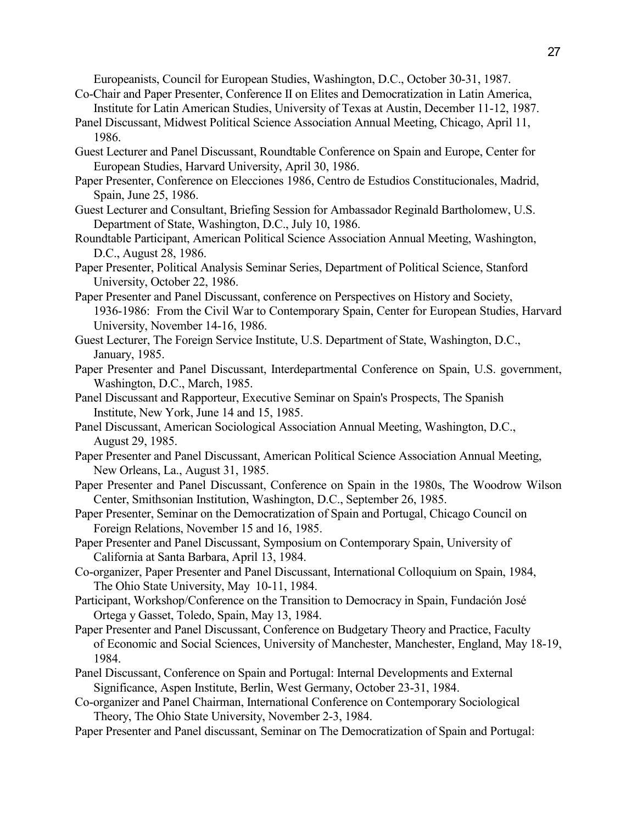Europeanists, Council for European Studies, Washington, D.C., October 30-31, 1987. Co-Chair and Paper Presenter, Conference II on Elites and Democratization in Latin America,

- Institute for Latin American Studies, University of Texas at Austin, December 11-12, 1987.
- Panel Discussant, Midwest Political Science Association Annual Meeting, Chicago, April 11, 1986.
- Guest Lecturer and Panel Discussant, Roundtable Conference on Spain and Europe, Center for European Studies, Harvard University, April 30, 1986.
- Paper Presenter, Conference on Elecciones 1986, Centro de Estudios Constitucionales, Madrid, Spain, June 25, 1986.
- Guest Lecturer and Consultant, Briefing Session for Ambassador Reginald Bartholomew, U.S. Department of State, Washington, D.C., July 10, 1986.
- Roundtable Participant, American Political Science Association Annual Meeting, Washington, D.C., August 28, 1986.
- Paper Presenter, Political Analysis Seminar Series, Department of Political Science, Stanford University, October 22, 1986.
- Paper Presenter and Panel Discussant, conference on Perspectives on History and Society, 1936-1986: From the Civil War to Contemporary Spain, Center for European Studies, Harvard University, November 14-16, 1986.
- Guest Lecturer, The Foreign Service Institute, U.S. Department of State, Washington, D.C., January, 1985.
- Paper Presenter and Panel Discussant, Interdepartmental Conference on Spain, U.S. government, Washington, D.C., March, 1985.
- Panel Discussant and Rapporteur, Executive Seminar on Spain's Prospects, The Spanish Institute, New York, June 14 and 15, 1985.
- Panel Discussant, American Sociological Association Annual Meeting, Washington, D.C., August 29, 1985.
- Paper Presenter and Panel Discussant, American Political Science Association Annual Meeting, New Orleans, La., August 31, 1985.
- Paper Presenter and Panel Discussant, Conference on Spain in the 1980s, The Woodrow Wilson Center, Smithsonian Institution, Washington, D.C., September 26, 1985.
- Paper Presenter, Seminar on the Democratization of Spain and Portugal, Chicago Council on Foreign Relations, November 15 and 16, 1985.
- Paper Presenter and Panel Discussant, Symposium on Contemporary Spain, University of California at Santa Barbara, April 13, 1984.
- Co-organizer, Paper Presenter and Panel Discussant, International Colloquium on Spain, 1984, The Ohio State University, May 10-11, 1984.
- Participant, Workshop/Conference on the Transition to Democracy in Spain, Fundación José Ortega y Gasset, Toledo, Spain, May 13, 1984.
- Paper Presenter and Panel Discussant, Conference on Budgetary Theory and Practice, Faculty of Economic and Social Sciences, University of Manchester, Manchester, England, May 18-19, 1984.
- Panel Discussant, Conference on Spain and Portugal: Internal Developments and External Significance, Aspen Institute, Berlin, West Germany, October 23-31, 1984.
- Co-organizer and Panel Chairman, International Conference on Contemporary Sociological Theory, The Ohio State University, November 2-3, 1984.
- Paper Presenter and Panel discussant, Seminar on The Democratization of Spain and Portugal: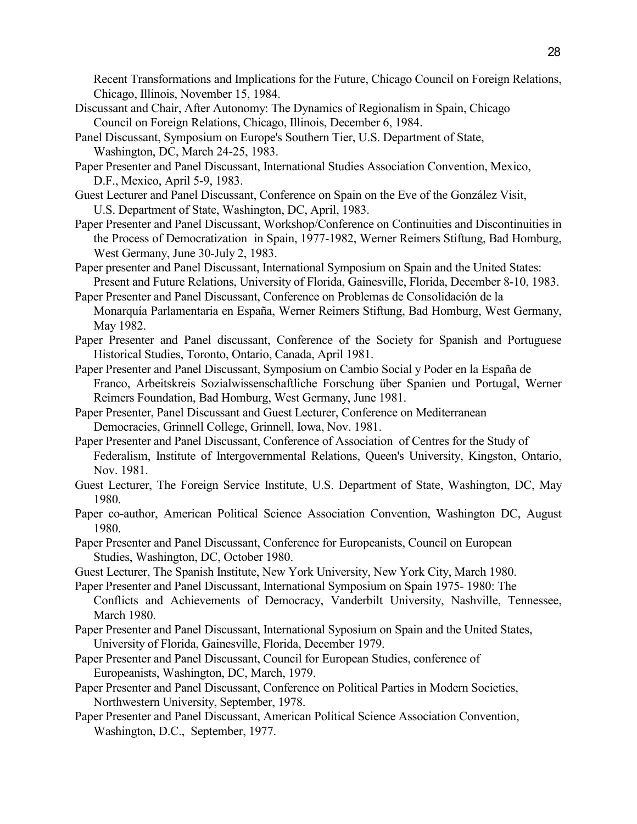Recent Transformations and Implications for the Future, Chicago Council on Foreign Relations, Chicago, Illinois, November 15, 1984.

- Discussant and Chair, After Autonomy: The Dynamics of Regionalism in Spain, Chicago Council on Foreign Relations, Chicago, Illinois, December 6, 1984.
- Panel Discussant, Symposium on Europe's Southern Tier, U.S. Department of State, Washington, DC, March 24-25, 1983.
- Paper Presenter and Panel Discussant, International Studies Association Convention, Mexico, D.F., Mexico, April 5-9, 1983.
- Guest Lecturer and Panel Discussant, Conference on Spain on the Eve of the González Visit, U.S. Department of State, Washington, DC, April, 1983.
- Paper Presenter and Panel Discussant, Workshop/Conference on Continuities and Discontinuities in the Process of Democratization in Spain, 1977-1982, Werner Reimers Stiftung, Bad Homburg, West Germany, June 30-July 2, 1983.
- Paper presenter and Panel Discussant, International Symposium on Spain and the United States: Present and Future Relations, University of Florida, Gainesville, Florida, December 8-10, 1983.
- Paper Presenter and Panel Discussant, Conference on Problemas de Consolidación de la Monarquía Parlamentaria en España, Werner Reimers Stiftung, Bad Homburg, West Germany, May 1982.
- Paper Presenter and Panel discussant, Conference of the Society for Spanish and Portuguese Historical Studies, Toronto, Ontario, Canada, April 1981.
- Paper Presenter and Panel Discussant, Symposium on Cambio Social y Poder en la España de Franco, Arbeitskreis Sozialwissenschaftliche Forschung über Spanien und Portugal, Werner Reimers Foundation, Bad Homburg, West Germany, June 1981.
- Paper Presenter, Panel Discussant and Guest Lecturer, Conference on Mediterranean Democracies, Grinnell College, Grinnell, Iowa, Nov. 1981.
- Paper Presenter and Panel Discussant, Conference of Association of Centres for the Study of Federalism, Institute of Intergovernmental Relations, Queen's University, Kingston, Ontario, Nov. 1981.
- Guest Lecturer, The Foreign Service Institute, U.S. Department of State, Washington, DC, May 1980.
- Paper co-author, American Political Science Association Convention, Washington DC, August 1980.
- Paper Presenter and Panel Discussant, Conference for Europeanists, Council on European Studies, Washington, DC, October 1980.
- Guest Lecturer, The Spanish Institute, New York University, New York City, March 1980.
- Paper Presenter and Panel Discussant, International Symposium on Spain 1975- 1980: The Conflicts and Achievements of Democracy, Vanderbilt University, Nashville, Tennessee, March 1980.
- Paper Presenter and Panel Discussant, International Syposium on Spain and the United States, University of Florida, Gainesville, Florida, December 1979.
- Paper Presenter and Panel Discussant, Council for European Studies, conference of Europeanists, Washington, DC, March, 1979.
- Paper Presenter and Panel Discussant, Conference on Political Parties in Modern Societies, Northwestern University, September, 1978.
- Paper Presenter and Panel Discussant, American Political Science Association Convention, Washington, D.C., September, 1977.